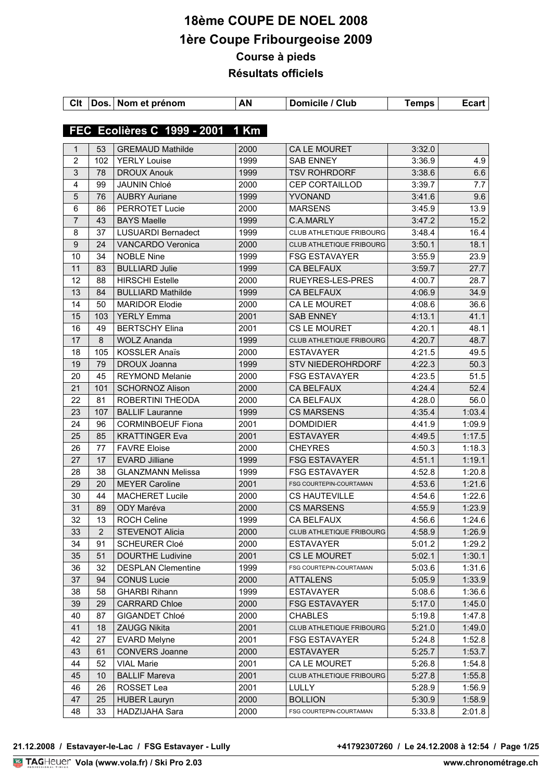| Clt            |     | Dos. Nom et prénom               | AN   | Domicile / Club          | <b>Temps</b> | Ecart  |
|----------------|-----|----------------------------------|------|--------------------------|--------------|--------|
|                |     |                                  |      |                          |              |        |
|                |     | FEC Ecolières C 1999 - 2001 1 Km |      |                          |              |        |
| 1              | 53  | <b>GREMAUD Mathilde</b>          | 2000 | CA LE MOURET             | 3:32.0       |        |
| $\overline{2}$ | 102 | <b>YERLY Louise</b>              | 1999 | <b>SAB ENNEY</b>         | 3:36.9       | 4.9    |
| 3              | 78  | <b>DROUX Anouk</b>               | 1999 | <b>TSV ROHRDORF</b>      | 3:38.6       | 6.6    |
| 4              | 99  | <b>JAUNIN Chloé</b>              | 2000 | CEP CORTAILLOD           | 3:39.7       | 7.7    |
| 5              | 76  | <b>AUBRY Auriane</b>             | 1999 | <b>YVONAND</b>           | 3:41.6       | 9.6    |
| 6              | 86  | <b>PERROTET Lucie</b>            | 2000 | <b>MARSENS</b>           | 3:45.9       | 13.9   |
| $\overline{7}$ | 43  | <b>BAYS Maelle</b>               | 1999 | C.A.MARLY                | 3:47.2       | 15.2   |
| 8              | 37  | <b>LUSUARDI Bernadect</b>        | 1999 | CLUB ATHLETIQUE FRIBOURG | 3:48.4       | 16.4   |
| 9              | 24  | <b>VANCARDO Veronica</b>         | 2000 | CLUB ATHLETIQUE FRIBOURG | 3:50.1       | 18.1   |
| 10             | 34  | <b>NOBLE Nine</b>                | 1999 | <b>FSG ESTAVAYER</b>     | 3:55.9       | 23.9   |
| 11             | 83  | <b>BULLIARD Julie</b>            | 1999 | CA BELFAUX               | 3:59.7       | 27.7   |
| 12             | 88  | <b>HIRSCHI Estelle</b>           | 2000 | RUEYRES-LES-PRES         | 4:00.7       | 28.7   |
| 13             | 84  | <b>BULLIARD Mathilde</b>         | 1999 | CA BELFAUX               | 4:06.9       | 34.9   |
| 14             | 50  | <b>MARIDOR Elodie</b>            | 2000 | CA LE MOURET             | 4:08.6       | 36.6   |
| 15             | 103 | <b>YERLY Emma</b>                | 2001 | <b>SAB ENNEY</b>         | 4:13.1       | 41.1   |
| 16             | 49  | <b>BERTSCHY Elina</b>            | 2001 | <b>CS LE MOURET</b>      | 4:20.1       | 48.1   |
| 17             | 8   | <b>WOLZ Ananda</b>               | 1999 | CLUB ATHLETIQUE FRIBOURG | 4:20.7       | 48.7   |
| 18             | 105 | <b>KOSSLER Anaïs</b>             | 2000 | <b>ESTAVAYER</b>         | 4:21.5       | 49.5   |
| 19             | 79  | <b>DROUX Joanna</b>              | 1999 | <b>STV NIEDEROHRDORF</b> | 4:22.3       | 50.3   |
| 20             | 45  | <b>REYMOND Melanie</b>           | 2000 | <b>FSG ESTAVAYER</b>     | 4:23.5       | 51.5   |
| 21             | 101 | <b>SCHORNOZ Alison</b>           | 2000 | CA BELFAUX               | 4:24.4       | 52.4   |
| 22             | 81  | <b>ROBERTINI THEODA</b>          | 2000 | <b>CA BELFAUX</b>        | 4:28.0       | 56.0   |
| 23             | 107 | <b>BALLIF Lauranne</b>           | 1999 | <b>CS MARSENS</b>        | 4:35.4       | 1:03.4 |
| 24             | 96  | <b>CORMINBOEUF Fiona</b>         | 2001 | <b>DOMDIDIER</b>         | 4:41.9       | 1:09.9 |
| 25             | 85  | <b>KRATTINGER Eva</b>            | 2001 | <b>ESTAVAYER</b>         | 4:49.5       | 1:17.5 |
| 26             | 77  | <b>FAVRE Eloise</b>              | 2000 | <b>CHEYRES</b>           | 4:50.3       | 1:18.3 |
| 27             | 17  | <b>EVARD Jilliane</b>            | 1999 | <b>FSG ESTAVAYER</b>     | 4:51.1       | 1:19.1 |
| 28             | 38  | <b>GLANZMANN Melissa</b>         | 1999 | <b>FSG ESTAVAYER</b>     | 4:52.8       | 1:20.8 |
| 29             | 20  | <b>MEYER Caroline</b>            | 2001 | FSG COURTEPIN-COURTAMAN  | 4:53.6       | 1:21.6 |
| 30             | 44  | <b>MACHERET Lucile</b>           | 2000 | <b>CS HAUTEVILLE</b>     | 4:54.6       | 1:22.6 |
| 31             | 89  | ODY Maréva                       | 2000 | <b>CS MARSENS</b>        | 4:55.9       | 1:23.9 |
| 32             | 13  | <b>ROCH Celine</b>               | 1999 | CA BELFAUX               | 4:56.6       | 1:24.6 |
| 33             | 2   | <b>STEVENOT Alicia</b>           | 2000 | CLUB ATHLETIQUE FRIBOURG | 4:58.9       | 1:26.9 |
| 34             | 91  | <b>SCHEURER Cloé</b>             | 2000 | <b>ESTAVAYER</b>         | 5:01.2       | 1:29.2 |
| 35             | 51  | <b>DOURTHE Ludivine</b>          | 2001 | CS LE MOURET             | 5:02.1       | 1:30.1 |
| 36             | 32  | <b>DESPLAN Clementine</b>        | 1999 | FSG COURTEPIN-COURTAMAN  | 5:03.6       | 1:31.6 |
| 37             | 94  | <b>CONUS Lucie</b>               | 2000 | <b>ATTALENS</b>          | 5:05.9       | 1:33.9 |
| 38             | 58  | <b>GHARBI Rihann</b>             | 1999 | <b>ESTAVAYER</b>         | 5:08.6       | 1:36.6 |
| 39             | 29  | <b>CARRARD Chloe</b>             | 2000 | <b>FSG ESTAVAYER</b>     | 5:17.0       | 1:45.0 |
| 40             | 87  | <b>GIGANDET Chloé</b>            | 2000 | <b>CHABLES</b>           | 5:19.8       | 1:47.8 |
| 41             | 18  | <b>ZAUGG Nikita</b>              | 2001 | CLUB ATHLETIQUE FRIBOURG | 5:21.0       | 1:49.0 |
| 42             | 27  | <b>EVARD Melyne</b>              | 2001 | <b>FSG ESTAVAYER</b>     | 5:24.8       | 1:52.8 |
| 43             | 61  | <b>CONVERS Joanne</b>            | 2000 | <b>ESTAVAYER</b>         | 5:25.7       | 1:53.7 |
| 44             | 52  | <b>VIAL Marie</b>                | 2001 | CA LE MOURET             | 5:26.8       | 1:54.8 |
| 45             | 10  | <b>BALLIF Mareva</b>             | 2001 | CLUB ATHLETIQUE FRIBOURG | 5:27.8       | 1:55.8 |
| 46             | 26  | ROSSET Lea                       | 2001 | LULLY                    | 5:28.9       | 1:56.9 |
| 47             | 25  | <b>HUBER Lauryn</b>              | 2000 | <b>BOLLION</b>           | 5:30.9       | 1:58.9 |
| 48             | 33  | HADZIJAHA Sara                   | 2000 | FSG COURTEPIN-COURTAMAN  | 5:33.8       | 2:01.8 |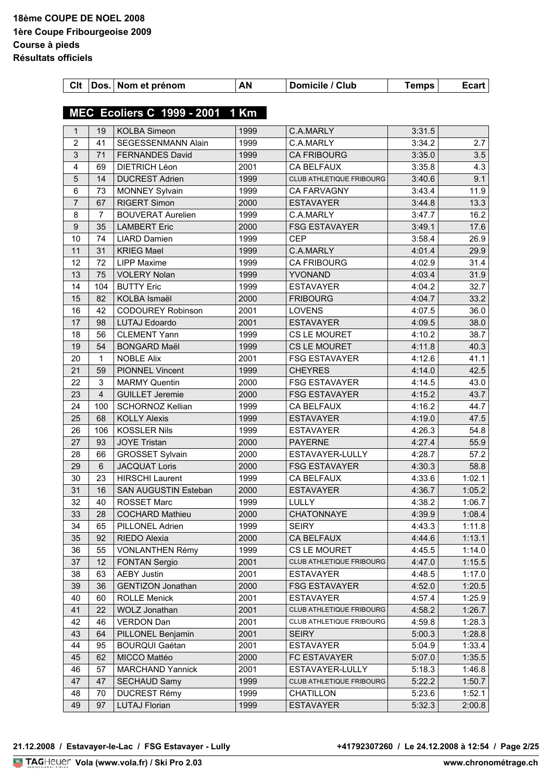| Clt                     |     | Dos. Nom et prénom                             | AN   | Domicile / Club                    | <b>Temps</b> | <b>Ecart</b> |
|-------------------------|-----|------------------------------------------------|------|------------------------------------|--------------|--------------|
|                         |     |                                                |      |                                    |              |              |
|                         |     | MEC Ecoliers C 1999 - 2001 1 Km                |      |                                    |              |              |
| $\mathbf{1}$            | 19  | <b>KOLBA Simeon</b>                            | 1999 | C.A.MARLY                          | 3:31.5       |              |
| $\overline{c}$          | 41  | SEGESSENMANN Alain                             | 1999 | C.A.MARLY                          | 3:34.2       | 2.7          |
| $\mathsf 3$             | 71  | <b>FERNANDES David</b>                         | 1999 | <b>CA FRIBOURG</b>                 | 3:35.0       | 3.5          |
| $\overline{\mathbf{4}}$ | 69  | <b>DIETRICH Léon</b>                           | 2001 | CA BELFAUX                         | 3:35.8       | 4.3          |
| 5                       | 14  | <b>DUCREST Adrien</b>                          | 1999 | CLUB ATHLETIQUE FRIBOURG           | 3:40.6       | 9.1          |
| 6                       | 73  | <b>MONNEY Sylvain</b>                          | 1999 | <b>CA FARVAGNY</b>                 | 3:43.4       | 11.9         |
| $\overline{7}$          | 67  | <b>RIGERT Simon</b>                            | 2000 | <b>ESTAVAYER</b>                   | 3:44.8       | 13.3         |
| 8                       | 7   | <b>BOUVERAT Aurelien</b>                       | 1999 | C.A.MARLY                          | 3:47.7       | 16.2         |
| 9                       | 35  | <b>LAMBERT Eric</b>                            | 2000 | <b>FSG ESTAVAYER</b>               | 3:49.1       | 17.6         |
| 10                      | 74  | <b>LIARD Damien</b>                            | 1999 | <b>CEP</b>                         | 3:58.4       | 26.9         |
| 11                      | 31  | <b>KRIEG Mael</b>                              | 1999 | C.A.MARLY                          | 4:01.4       | 29.9         |
| 12                      | 72  | <b>LIPP Maxime</b>                             | 1999 | <b>CA FRIBOURG</b>                 | 4:02.9       | 31.4         |
| 13                      | 75  | <b>VOLERY Nolan</b>                            | 1999 | YVONAND                            | 4:03.4       | 31.9         |
| 14                      | 104 | <b>BUTTY Eric</b>                              | 1999 | <b>ESTAVAYER</b>                   | 4:04.2       | 32.7         |
| 15                      | 82  | KOLBA Ismaël                                   | 2000 | <b>FRIBOURG</b>                    | 4:04.7       | 33.2         |
| 16                      | 42  | <b>CODOUREY Robinson</b>                       | 2001 | <b>LOVENS</b>                      | 4:07.5       | 36.0         |
| 17                      | 98  | <b>LUTAJ Edoardo</b>                           | 2001 | <b>ESTAVAYER</b>                   | 4:09.5       | 38.0         |
| 18                      | 56  | <b>CLEMENT Yann</b>                            | 1999 | CS LE MOURET                       | 4:10.2       | 38.7         |
| 19                      | 54  | <b>BONGARD Maël</b>                            | 1999 | CS LE MOURET                       | 4:11.8       | 40.3         |
| 20                      | 1   | <b>NOBLE Alix</b>                              | 2001 | <b>FSG ESTAVAYER</b>               | 4:12.6       | 41.1         |
| 21                      | 59  | PIONNEL Vincent                                | 1999 | <b>CHEYRES</b>                     | 4:14.0       | 42.5         |
| 22                      | 3   | <b>MARMY Quentin</b>                           | 2000 | <b>FSG ESTAVAYER</b>               | 4:14.5       | 43.0         |
| 23                      | 4   | <b>GUILLET Jeremie</b>                         | 2000 | <b>FSG ESTAVAYER</b>               | 4:15.2       | 43.7         |
| 24                      | 100 | SCHORNOZ Kellian                               | 1999 | CA BELFAUX                         | 4:16.2       | 44.7         |
| 25                      | 68  | <b>KOLLY Alexis</b>                            | 1999 | <b>ESTAVAYER</b>                   | 4:19.0       | 47.5         |
| 26                      | 106 | <b>KOSSLER Nils</b>                            | 1999 | <b>ESTAVAYER</b>                   | 4:26.3       | 54.8         |
| 27                      | 93  | <b>JOYE Tristan</b>                            | 2000 | <b>PAYERNE</b>                     | 4:27.4       | 55.9         |
| 28                      | 66  | <b>GROSSET Sylvain</b>                         | 2000 | ESTAVAYER-LULLY                    | 4:28.7       | 57.2         |
|                         |     |                                                |      |                                    |              |              |
| 29                      | 6   | <b>JACQUAT Loris</b><br><b>HIRSCHI Laurent</b> | 2000 | <b>FSG ESTAVAYER</b><br>CA BELFAUX | 4:30.3       | 58.8         |
| 30<br>31                | 23  |                                                | 1999 |                                    | 4:33.6       | 1:02.1       |
|                         | 16  | SAN AUGUSTIN Esteban                           | 2000 | <b>ESTAVAYER</b>                   | 4:36.7       | 1:05.2       |
| 32                      | 40  | ROSSET Marc                                    | 1999 | <b>LULLY</b>                       | 4:38.2       | 1:06.7       |
| 33                      | 28  | <b>COCHARD Mathieu</b>                         | 2000 | CHATONNAYE                         | 4:39.9       | 1:08.4       |
| 34                      | 65  | PILLONEL Adrien                                | 1999 | <b>SEIRY</b>                       | 4:43.3       | 1:11.8       |
| 35                      | 92  | RIEDO Alexia                                   | 2000 | CA BELFAUX                         | 4:44.6       | 1:13.1       |
| 36                      | 55  | <b>VONLANTHEN Rémy</b>                         | 1999 | CS LE MOURET                       | 4:45.5       | 1:14.0       |
| 37                      | 12  | <b>FONTAN Sergio</b>                           | 2001 | CLUB ATHLETIQUE FRIBOURG           | 4:47.0       | 1:15.5       |
| 38                      | 63  | <b>AEBY Justin</b>                             | 2001 | <b>ESTAVAYER</b>                   | 4:48.5       | 1:17.0       |
| 39                      | 36  | <b>GENTIZON Jonathan</b>                       | 2000 | <b>FSG ESTAVAYER</b>               | 4:52.0       | 1:20.5       |
| 40                      | 60  | <b>ROLLE Menick</b>                            | 2001 | <b>ESTAVAYER</b>                   | 4:57.4       | 1:25.9       |
| 41                      | 22  | <b>WOLZ Jonathan</b>                           | 2001 | CLUB ATHLETIQUE FRIBOURG           | 4:58.2       | 1:26.7       |
| 42                      | 46  | <b>VERDON Dan</b>                              | 2001 | CLUB ATHLETIQUE FRIBOURG           | 4:59.8       | 1:28.3       |
| 43                      | 64  | PILLONEL Benjamin                              | 2001 | <b>SEIRY</b>                       | 5:00.3       | 1:28.8       |
| 44                      | 95  | <b>BOURQUI Gaétan</b>                          | 2001 | <b>ESTAVAYER</b>                   | 5:04.9       | 1:33.4       |
| 45                      | 62  | MICCO Mattéo                                   | 2000 | FC ESTAVAYER                       | 5:07.0       | 1:35.5       |
| 46                      | 57  | <b>MARCHAND Yannick</b>                        | 2001 | ESTAVAYER-LULLY                    | 5:18.3       | 1:46.8       |
| 47                      | 47  | <b>SECHAUD Samy</b>                            | 1999 | CLUB ATHLETIQUE FRIBOURG           | 5:22.2       | 1:50.7       |
| 48                      | 70  | <b>DUCREST Rémy</b>                            | 1999 | CHATILLON                          | 5:23.6       | 1:52.1       |
| 49                      | 97  | <b>LUTAJ Florian</b>                           | 1999 | <b>ESTAVAYER</b>                   | 5:32.3       | 2:00.8       |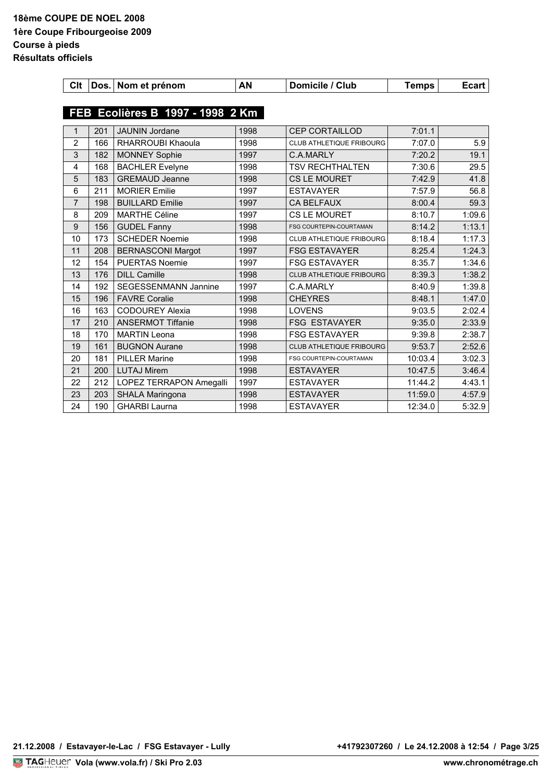| Clt            |     | Dos. Nom et prénom               | AN   | Domicile / Club                 | <b>Temps</b> | <b>Ecart</b> |
|----------------|-----|----------------------------------|------|---------------------------------|--------------|--------------|
|                |     |                                  |      |                                 |              |              |
|                |     | FEB Ecolières B 1997 - 1998 2 Km |      |                                 |              |              |
| $\mathbf{1}$   | 201 | <b>JAUNIN Jordane</b>            | 1998 | <b>CEP CORTAILLOD</b>           | 7:01.1       |              |
| 2              | 166 | RHARROUBI Khaoula                | 1998 | <b>CLUB ATHLETIQUE FRIBOURG</b> | 7:07.0       | 5.9          |
| 3              | 182 | <b>MONNEY Sophie</b>             | 1997 | C.A.MARLY                       | 7:20.2       | 19.1         |
| $\overline{4}$ | 168 | <b>BACHLER Evelyne</b>           | 1998 | <b>TSV RECHTHALTEN</b>          | 7:30.6       | 29.5         |
| 5              | 183 | <b>GREMAUD Jeanne</b>            | 1998 | <b>CS LE MOURET</b>             | 7:42.9       | 41.8         |
| 6              | 211 | <b>MORIER Emilie</b>             | 1997 | <b>ESTAVAYER</b>                | 7:57.9       | 56.8         |
| $\overline{7}$ | 198 | <b>BUILLARD Emilie</b>           | 1997 | <b>CA BELFAUX</b>               | 8:00.4       | 59.3         |
| 8              | 209 | <b>MARTHE Céline</b>             | 1997 | CS LE MOURET                    | 8:10.7       | 1:09.6       |
| 9              | 156 | <b>GUDEL Fanny</b>               | 1998 | FSG COURTEPIN-COURTAMAN         | 8:14.2       | 1:13.1       |
| 10             | 173 | <b>SCHEDER Noemie</b>            | 1998 | <b>CLUB ATHLETIQUE FRIBOURG</b> | 8:18.4       | 1:17.3       |
| 11             | 208 | <b>BERNASCONI Margot</b>         | 1997 | <b>FSG ESTAVAYER</b>            | 8:25.4       | 1:24.3       |
| 12             | 154 | <b>PUERTAS Noemie</b>            | 1997 | <b>FSG ESTAVAYER</b>            | 8:35.7       | 1:34.6       |
| 13             | 176 | <b>DILL Camille</b>              | 1998 | <b>CLUB ATHLETIQUE FRIBOURG</b> | 8:39.3       | 1:38.2       |
| 14             | 192 | <b>SEGESSENMANN Jannine</b>      | 1997 | C.A.MARLY                       | 8:40.9       | 1:39.8       |
| 15             | 196 | <b>FAVRE Coralie</b>             | 1998 | <b>CHEYRES</b>                  | 8:48.1       | 1:47.0       |
| 16             | 163 | <b>CODOUREY Alexia</b>           | 1998 | <b>LOVENS</b>                   | 9:03.5       | 2:02.4       |
| 17             | 210 | <b>ANSERMOT Tiffanie</b>         | 1998 | <b>FSG ESTAVAYER</b>            | 9:35.0       | 2:33.9       |
| 18             | 170 | <b>MARTIN Leona</b>              | 1998 | <b>FSG ESTAVAYER</b>            | 9:39.8       | 2:38.7       |
| 19             | 161 | <b>BUGNON Aurane</b>             | 1998 | <b>CLUB ATHLETIQUE FRIBOURG</b> | 9:53.7       | 2:52.6       |
| 20             | 181 | <b>PILLER Marine</b>             | 1998 | FSG COURTEPIN-COURTAMAN         | 10:03.4      | 3:02.3       |
| 21             | 200 | <b>LUTAJ Mirem</b>               | 1998 | <b>ESTAVAYER</b>                | 10:47.5      | 3:46.4       |
| 22             | 212 | LOPEZ TERRAPON Amegalli          | 1997 | <b>ESTAVAYER</b>                | 11:44.2      | 4:43.1       |
| 23             | 203 | SHALA Maringona                  | 1998 | <b>ESTAVAYER</b>                | 11:59.0      | 4:57.9       |
| 24             | 190 | <b>GHARBI Laurna</b>             | 1998 | <b>ESTAVAYER</b>                | 12:34.0      | 5:32.9       |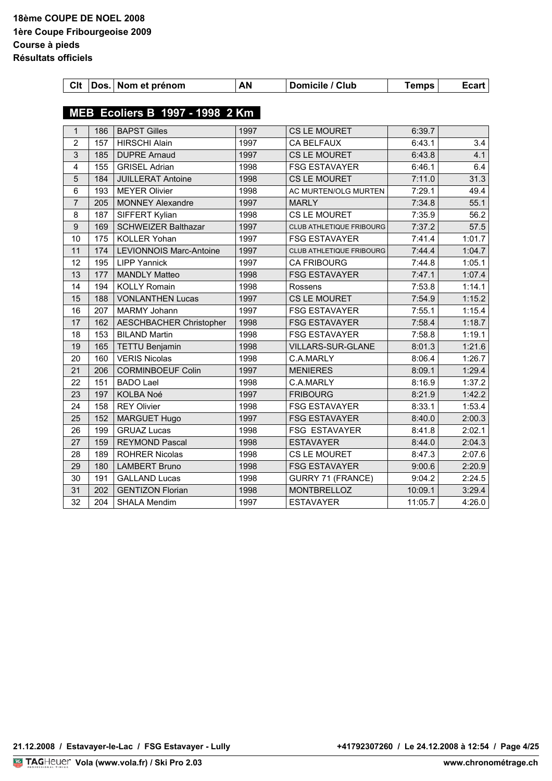| Clt            |     | Dos. Nom et prénom             | AN   | Domicile / Club                 | <b>Temps</b> | <b>Ecart</b> |
|----------------|-----|--------------------------------|------|---------------------------------|--------------|--------------|
|                |     |                                |      |                                 |              |              |
| <b>MEB</b>     |     | Ecoliers B 1997 - 1998 2 Km    |      |                                 |              |              |
| 1              | 186 | <b>BAPST Gilles</b>            | 1997 | CS LE MOURET                    | 6:39.7       |              |
| $\overline{2}$ | 157 | <b>HIRSCHI Alain</b>           | 1997 | CA BELFAUX                      | 6:43.1       | 3.4          |
| 3              | 185 | <b>DUPRE Arnaud</b>            | 1997 | CS LE MOURET                    | 6:43.8       | 4.1          |
| 4              | 155 | <b>GRISEL Adrian</b>           | 1998 | <b>FSG ESTAVAYER</b>            | 6:46.1       | 6.4          |
| 5              | 184 | <b>JUILLERAT Antoine</b>       | 1998 | CS LE MOURET                    | 7:11.0       | 31.3         |
| 6              | 193 | <b>MEYER Olivier</b>           | 1998 | AC MURTEN/OLG MURTEN            | 7:29.1       | 49.4         |
| $\overline{7}$ | 205 | <b>MONNEY Alexandre</b>        | 1997 | <b>MARLY</b>                    | 7:34.8       | 55.1         |
| 8              | 187 | SIFFERT Kylian                 | 1998 | CS LE MOURET                    | 7:35.9       | 56.2         |
| 9              | 169 | <b>SCHWEIZER Balthazar</b>     | 1997 | <b>CLUB ATHLETIQUE FRIBOURG</b> | 7:37.2       | 57.5         |
| 10             | 175 | <b>KOLLER Yohan</b>            | 1997 | <b>FSG ESTAVAYER</b>            | 7:41.4       | 1:01.7       |
| 11             | 174 | <b>LEVIONNOIS Marc-Antoine</b> | 1997 | CLUB ATHLETIQUE FRIBOURG        | 7:44.4       | 1:04.7       |
| 12             | 195 | <b>LIPP Yannick</b>            | 1997 | <b>CA FRIBOURG</b>              | 7:44.8       | 1:05.1       |
| 13             | 177 | <b>MANDLY Matteo</b>           | 1998 | <b>FSG ESTAVAYER</b>            | 7:47.1       | 1:07.4       |
| 14             | 194 | <b>KOLLY Romain</b>            | 1998 | Rossens                         | 7:53.8       | 1:14.1       |
| 15             | 188 | <b>VONLANTHEN Lucas</b>        | 1997 | CS LE MOURET                    | 7:54.9       | 1:15.2       |
| 16             | 207 | MARMY Johann                   | 1997 | <b>FSG ESTAVAYER</b>            | 7:55.1       | 1:15.4       |
| 17             | 162 | <b>AESCHBACHER Christopher</b> | 1998 | <b>FSG ESTAVAYER</b>            | 7:58.4       | 1:18.7       |
| 18             | 153 | <b>BILAND Martin</b>           | 1998 | <b>FSG ESTAVAYER</b>            | 7:58.8       | 1:19.1       |
| 19             | 165 | TETTU Benjamin                 | 1998 | VILLARS-SUR-GLANE               | 8:01.3       | 1:21.6       |
| 20             | 160 | <b>VERIS Nicolas</b>           | 1998 | C.A.MARLY                       | 8:06.4       | 1:26.7       |
| 21             | 206 | <b>CORMINBOEUF Colin</b>       | 1997 | <b>MENIERES</b>                 | 8:09.1       | 1:29.4       |
| 22             | 151 | <b>BADO Lael</b>               | 1998 | C.A.MARLY                       | 8:16.9       | 1:37.2       |
| 23             | 197 | KOLBA Noé                      | 1997 | <b>FRIBOURG</b>                 | 8:21.9       | 1:42.2       |
| 24             | 158 | <b>REY Olivier</b>             | 1998 | <b>FSG ESTAVAYER</b>            | 8:33.1       | 1:53.4       |
| 25             | 152 | <b>MARGUET Hugo</b>            | 1997 | <b>FSG ESTAVAYER</b>            | 8:40.0       | 2:00.3       |
| 26             | 199 | <b>GRUAZ Lucas</b>             | 1998 | <b>FSG ESTAVAYER</b>            | 8:41.8       | 2:02.1       |
| 27             | 159 | <b>REYMOND Pascal</b>          | 1998 | <b>ESTAVAYER</b>                | 8:44.0       | 2:04.3       |
| 28             | 189 | <b>ROHRER Nicolas</b>          | 1998 | CS LE MOURET                    | 8:47.3       | 2:07.6       |
| 29             | 180 | <b>LAMBERT Bruno</b>           | 1998 | <b>FSG ESTAVAYER</b>            | 9:00.6       | 2:20.9       |
| 30             | 191 | <b>GALLAND Lucas</b>           | 1998 | GURRY 71 (FRANCE)               | 9:04.2       | 2:24.5       |
| 31             | 202 | <b>GENTIZON Florian</b>        | 1998 | <b>MONTBRELLOZ</b>              | 10:09.1      | 3:29.4       |
| 32             | 204 | <b>SHALA Mendim</b>            | 1997 | <b>ESTAVAYER</b>                | 11:05.7      | 4:26.0       |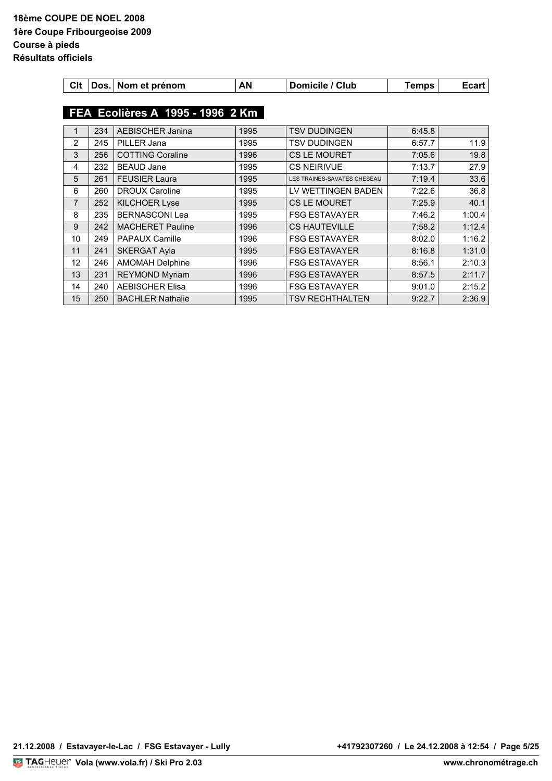| Clt |  | Nom et prénom | AΝ | ′ Club<br>ICIIA |  |  |
|-----|--|---------------|----|-----------------|--|--|
|-----|--|---------------|----|-----------------|--|--|

## **FEA Ecolières A 1995 - 1996 2 Km**

| 1  | 234 | <b>AEBISCHER Janina</b> | 1995 | <b>TSV DUDINGEN</b>         | 6:45.8 |        |
|----|-----|-------------------------|------|-----------------------------|--------|--------|
| 2  | 245 | PILLER Jana             | 1995 | <b>TSV DUDINGEN</b>         | 6:57.7 | 11.9   |
| 3  | 256 | <b>COTTING Coraline</b> | 1996 | CS LE MOURET                | 7:05.6 | 19.8   |
| 4  | 232 | <b>BEAUD Jane</b>       | 1995 | <b>CS NEIRIVUE</b>          | 7:13.7 | 27.9   |
| 5  | 261 | <b>FEUSIER Laura</b>    | 1995 | LES TRAINES-SAVATES CHESEAU | 7:19.4 | 33.6   |
| 6  | 260 | <b>DROUX Caroline</b>   | 1995 | LV WETTINGEN BADEN          | 7:22.6 | 36.8   |
| 7  | 252 | <b>KILCHOER Lyse</b>    | 1995 | CS LE MOURET                | 7:25.9 | 40.1   |
| 8  | 235 | <b>BERNASCONI Lea</b>   | 1995 | <b>FSG ESTAVAYER</b>        | 7:46.2 | 1:00.4 |
| 9  | 242 | <b>MACHERET Pauline</b> | 1996 | <b>CS HAUTEVILLE</b>        | 7:58.2 | 1:12.4 |
| 10 | 249 | <b>PAPAUX Camille</b>   | 1996 | <b>FSG ESTAVAYER</b>        | 8:02.0 | 1:16.2 |
| 11 | 241 | <b>SKERGAT Ayla</b>     | 1995 | <b>FSG ESTAVAYER</b>        | 8:16.8 | 1:31.0 |
| 12 | 246 | <b>AMOMAH Delphine</b>  | 1996 | <b>FSG ESTAVAYER</b>        | 8:56.1 | 2:10.3 |
| 13 | 231 | <b>REYMOND Myriam</b>   | 1996 | <b>FSG ESTAVAYER</b>        | 8:57.5 | 2:11.7 |
| 14 | 240 | <b>AEBISCHER Elisa</b>  | 1996 | <b>FSG ESTAVAYER</b>        | 9:01.0 | 2:15.2 |
| 15 | 250 | <b>BACHLER Nathalie</b> | 1995 | <b>TSV RECHTHALTEN</b>      | 9:22.7 | 2:36.9 |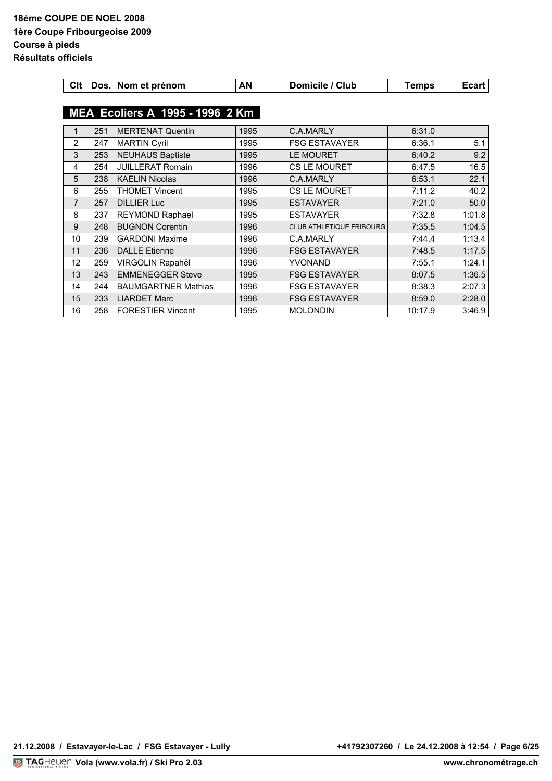| Clt | Dos. I | Nom et prénom | AΝ | Domicile / Club |  |  |
|-----|--------|---------------|----|-----------------|--|--|
|-----|--------|---------------|----|-----------------|--|--|

## **MEA Ecoliers A 1995 - 1996 2 Km**

|                | 251 | <b>MERTENAT Quentin</b>    | 1995 | C.A.MARLY                | 6:31.0  |        |
|----------------|-----|----------------------------|------|--------------------------|---------|--------|
| $\overline{2}$ | 247 | <b>MARTIN Cyril</b>        | 1995 | <b>FSG ESTAVAYER</b>     | 6:36.1  | 5.1    |
| 3              | 253 | <b>NEUHAUS Baptiste</b>    | 1995 | LE MOURET                | 6:40.2  | 9.2    |
| 4              | 254 | <b>JUILLERAT Romain</b>    | 1996 | CS LE MOURET             | 6:47.5  | 16.5   |
| 5              | 238 | <b>KAELIN Nicolas</b>      | 1996 | C.A.MARLY                | 6:53.1  | 22.1   |
| 6              | 255 | <b>THOMET Vincent</b>      | 1995 | CS LE MOURET             | 7:11.2  | 40.2   |
| 7              | 257 | <b>DILLIER Luc</b>         | 1995 | <b>ESTAVAYER</b>         | 7:21.0  | 50.0   |
| 8              | 237 | <b>REYMOND Raphael</b>     | 1995 | <b>ESTAVAYER</b>         | 7:32.8  | 1:01.8 |
| 9              | 248 | <b>BUGNON Corentin</b>     | 1996 | CLUB ATHLETIQUE FRIBOURG | 7:35.5  | 1:04.5 |
| 10             | 239 | <b>GARDONI Maxime</b>      | 1996 | C.A.MARLY                | 7:44.4  | 1:13.4 |
| 11             | 236 | <b>DALLE Etienne</b>       | 1996 | <b>FSG ESTAVAYER</b>     | 7:48.5  | 1:17.5 |
| 12             | 259 | VIRGOLIN Rapahël           | 1996 | <b>YVONAND</b>           | 7:55.1  | 1:24.1 |
| 13             | 243 | <b>EMMENEGGER Steve</b>    | 1995 | <b>FSG ESTAVAYER</b>     | 8:07.5  | 1:36.5 |
| 14             | 244 | <b>BAUMGARTNER Mathias</b> | 1996 | <b>FSG ESTAVAYER</b>     | 8:38.3  | 2:07.3 |
| 15             | 233 | <b>LIARDET Marc</b>        | 1996 | <b>FSG ESTAVAYER</b>     | 8:59.0  | 2:28.0 |
| 16             | 258 | <b>FORESTIER Vincent</b>   | 1995 | <b>MOLONDIN</b>          | 10:17.9 | 3:46.9 |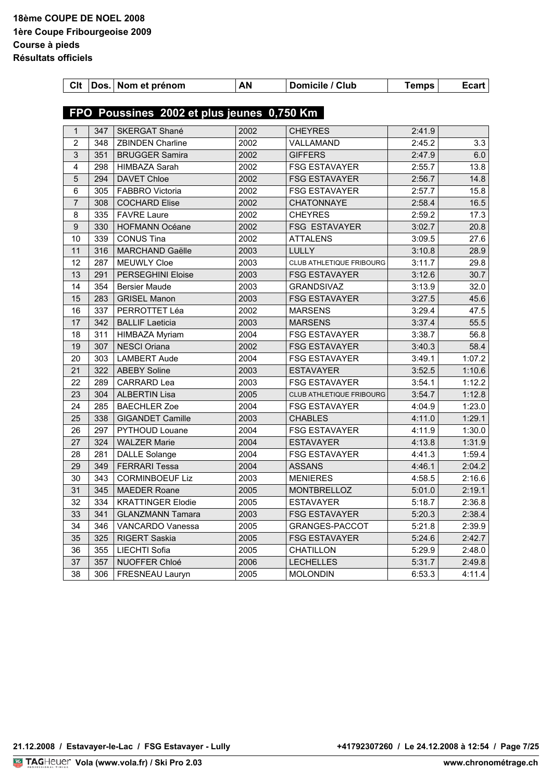| Clt              |                                            | Dos. Nom et prénom       | AN   | Domicile / Club          | <b>Temps</b> | <b>Ecart</b> |  |  |  |
|------------------|--------------------------------------------|--------------------------|------|--------------------------|--------------|--------------|--|--|--|
|                  |                                            |                          |      |                          |              |              |  |  |  |
|                  | FPO Poussines 2002 et plus jeunes 0,750 Km |                          |      |                          |              |              |  |  |  |
| $\mathbf{1}$     | 347                                        | SKERGAT Shané            | 2002 | <b>CHEYRES</b>           | 2:41.9       |              |  |  |  |
| $\overline{2}$   | 348                                        | <b>ZBINDEN Charline</b>  | 2002 | VALLAMAND                | 2:45.2       | 3.3          |  |  |  |
| 3                | 351                                        | <b>BRUGGER Samira</b>    | 2002 | <b>GIFFERS</b>           | 2:47.9       | 6.0          |  |  |  |
| 4                | 298                                        | HIMBAZA Sarah            | 2002 | <b>FSG ESTAVAYER</b>     | 2:55.7       | 13.8         |  |  |  |
| $\sqrt{5}$       | 294                                        | <b>DAVET Chloe</b>       | 2002 | <b>FSG ESTAVAYER</b>     | 2:56.7       | 14.8         |  |  |  |
| 6                | 305                                        | <b>FABBRO Victoria</b>   | 2002 | <b>FSG ESTAVAYER</b>     | 2:57.7       | 15.8         |  |  |  |
| $\overline{7}$   | 308                                        | <b>COCHARD Elise</b>     | 2002 | <b>CHATONNAYE</b>        | 2:58.4       | 16.5         |  |  |  |
| 8                | 335                                        | <b>FAVRE Laure</b>       | 2002 | <b>CHEYRES</b>           | 2:59.2       | 17.3         |  |  |  |
| $\boldsymbol{9}$ | 330                                        | <b>HOFMANN Océane</b>    | 2002 | <b>FSG ESTAVAYER</b>     | 3:02.7       | 20.8         |  |  |  |
| 10               | 339                                        | <b>CONUS Tina</b>        | 2002 | <b>ATTALENS</b>          | 3:09.5       | 27.6         |  |  |  |
| 11               | 316                                        | <b>MARCHAND Gaëlle</b>   | 2003 | <b>LULLY</b>             | 3:10.8       | 28.9         |  |  |  |
| 12               | 287                                        | <b>MEUWLY Cloe</b>       | 2003 | CLUB ATHLETIQUE FRIBOURG | 3:11.7       | 29.8         |  |  |  |
| 13               | 291                                        | <b>PERSEGHINI Eloise</b> | 2003 | <b>FSG ESTAVAYER</b>     | 3:12.6       | 30.7         |  |  |  |
| 14               | 354                                        | <b>Bersier Maude</b>     | 2003 | <b>GRANDSIVAZ</b>        | 3:13.9       | 32.0         |  |  |  |
| 15               | 283                                        | <b>GRISEL Manon</b>      | 2003 | <b>FSG ESTAVAYER</b>     | 3:27.5       | 45.6         |  |  |  |
| 16               | 337                                        | PERROTTET Léa            | 2002 | <b>MARSENS</b>           | 3:29.4       | 47.5         |  |  |  |
| 17               | 342                                        | <b>BALLIF Laeticia</b>   | 2003 | <b>MARSENS</b>           | 3:37.4       | 55.5         |  |  |  |
| 18               | 311                                        | HIMBAZA Myriam           | 2004 | <b>FSG ESTAVAYER</b>     | 3:38.7       | 56.8         |  |  |  |
| 19               | 307                                        | <b>NESCI Oriana</b>      | 2002 | <b>FSG ESTAVAYER</b>     | 3:40.3       | 58.4         |  |  |  |
| 20               | 303                                        | <b>LAMBERT Aude</b>      | 2004 | <b>FSG ESTAVAYER</b>     | 3:49.1       | 1:07.2       |  |  |  |
| 21               | 322                                        | <b>ABEBY Soline</b>      | 2003 | <b>ESTAVAYER</b>         | 3:52.5       | 1:10.6       |  |  |  |
| 22               | 289                                        | <b>CARRARD Lea</b>       | 2003 | <b>FSG ESTAVAYER</b>     | 3:54.1       | 1:12.2       |  |  |  |
| 23               | 304                                        | <b>ALBERTIN Lisa</b>     | 2005 | CLUB ATHLETIQUE FRIBOURG | 3:54.7       | 1:12.8       |  |  |  |
| 24               | 285                                        | <b>BAECHLER Zoe</b>      | 2004 | <b>FSG ESTAVAYER</b>     | 4:04.9       | 1:23.0       |  |  |  |
| 25               | 338                                        | <b>GIGANDET Camille</b>  | 2003 | <b>CHABLES</b>           | 4:11.0       | 1:29.1       |  |  |  |
| 26               | 297                                        | PYTHOUD Louane           | 2004 | <b>FSG ESTAVAYER</b>     | 4:11.9       | 1:30.0       |  |  |  |
| 27               | 324                                        | <b>WALZER Marie</b>      | 2004 | <b>ESTAVAYER</b>         | 4:13.8       | 1:31.9       |  |  |  |
| 28               | 281                                        | DALLE Solange            | 2004 | <b>FSG ESTAVAYER</b>     | 4:41.3       | 1:59.4       |  |  |  |
| 29               | 349                                        | <b>FERRARI Tessa</b>     | 2004 | <b>ASSANS</b>            | 4:46.1       | 2:04.2       |  |  |  |
| 30               | 343                                        | <b>CORMINBOEUF Liz</b>   | 2003 | <b>MENIERES</b>          | 4:58.5       | 2:16.6       |  |  |  |
| 31               | 345                                        | <b>MAEDER Roane</b>      | 2005 | <b>MONTBRELLOZ</b>       | 5:01.0       | 2:19.1       |  |  |  |
| 32               | 334                                        | <b>KRATTINGER Elodie</b> | 2005 | <b>ESTAVAYER</b>         | 5:18.7       | 2:36.8       |  |  |  |
| 33               | 341                                        | <b>GLANZMANN Tamara</b>  | 2003 | <b>FSG ESTAVAYER</b>     | 5:20.3       | 2:38.4       |  |  |  |
| 34               | 346                                        | VANCARDO Vanessa         | 2005 | GRANGES-PACCOT           | 5:21.8       | 2:39.9       |  |  |  |
| 35               | 325                                        | RIGERT Saskia            | 2005 | <b>FSG ESTAVAYER</b>     | 5:24.6       | 2:42.7       |  |  |  |
| 36               | 355                                        | LIECHTI Sofia            | 2005 | CHATILLON                | 5:29.9       | 2:48.0       |  |  |  |
| 37               | 357                                        | NUOFFER Chloé            | 2006 | <b>LECHELLES</b>         | 5:31.7       | 2:49.8       |  |  |  |
| 38               | 306                                        | FRESNEAU Lauryn          | 2005 | <b>MOLONDIN</b>          | 6:53.3       | 4:11.4       |  |  |  |
|                  |                                            |                          |      |                          |              |              |  |  |  |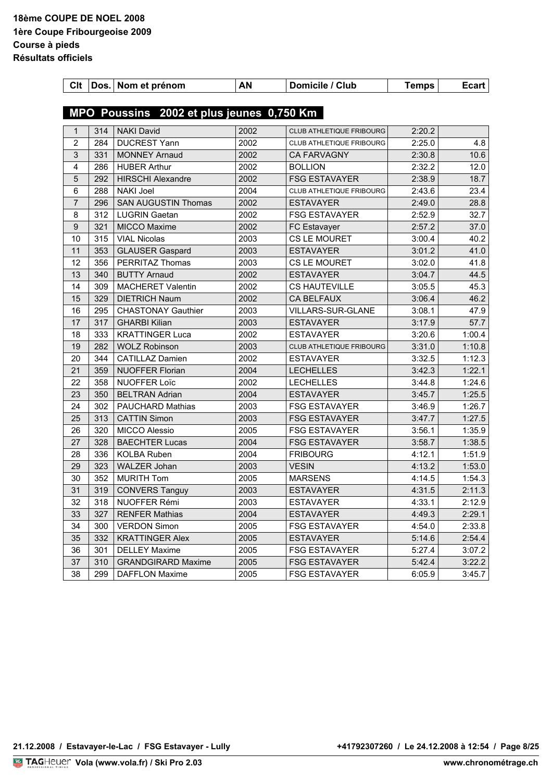| Clt            |     | Dos. Nom et prénom                        | AN   | Domicile / Club                 | <b>Temps</b> | <b>Ecart</b> |
|----------------|-----|-------------------------------------------|------|---------------------------------|--------------|--------------|
|                |     |                                           |      |                                 |              |              |
|                |     | MPO Poussins 2002 et plus jeunes 0,750 Km |      |                                 |              |              |
| 1              | 314 | <b>NAKI David</b>                         | 2002 | <b>CLUB ATHLETIQUE FRIBOURG</b> | 2:20.2       |              |
| $\overline{2}$ | 284 | <b>DUCREST Yann</b>                       | 2002 | <b>CLUB ATHLETIQUE FRIBOURG</b> | 2:25.0       | 4.8          |
| $\mathsf 3$    | 331 | <b>MONNEY Arnaud</b>                      | 2002 | <b>CA FARVAGNY</b>              | 2:30.8       | 10.6         |
| 4              | 286 | <b>HUBER Arthur</b>                       | 2002 | <b>BOLLION</b>                  | 2:32.2       | 12.0         |
| 5              | 292 | <b>HIRSCHI Alexandre</b>                  | 2002 | <b>FSG ESTAVAYER</b>            | 2:38.9       | 18.7         |
| 6              | 288 | <b>NAKI Joel</b>                          | 2004 | CLUB ATHLETIQUE FRIBOURG        | 2:43.6       | 23.4         |
| $\overline{7}$ | 296 | <b>SAN AUGUSTIN Thomas</b>                | 2002 | <b>ESTAVAYER</b>                | 2:49.0       | 28.8         |
| 8              | 312 | <b>LUGRIN Gaetan</b>                      | 2002 | <b>FSG ESTAVAYER</b>            | 2:52.9       | 32.7         |
| $9\,$          | 321 | <b>MICCO Maxime</b>                       | 2002 | FC Estavayer                    | 2:57.2       | 37.0         |
| 10             | 315 | <b>VIAL Nicolas</b>                       | 2003 | CS LE MOURET                    | 3:00.4       | 40.2         |
| 11             | 353 | <b>GLAUSER Gaspard</b>                    | 2003 | <b>ESTAVAYER</b>                | 3:01.2       | 41.0         |
| 12             | 356 | <b>PERRITAZ Thomas</b>                    | 2003 | CS LE MOURET                    | 3:02.0       | 41.8         |
| 13             | 340 | <b>BUTTY Arnaud</b>                       | 2002 | <b>ESTAVAYER</b>                | 3:04.7       | 44.5         |
| 14             | 309 | <b>MACHERET Valentin</b>                  | 2002 | <b>CS HAUTEVILLE</b>            | 3:05.5       | 45.3         |
| 15             | 329 | <b>DIETRICH Naum</b>                      | 2002 | <b>CA BELFAUX</b>               | 3:06.4       | 46.2         |
| 16             | 295 | <b>CHASTONAY Gauthier</b>                 | 2003 | VILLARS-SUR-GLANE               | 3:08.1       | 47.9         |
| 17             | 317 | <b>GHARBI Kilian</b>                      | 2003 | <b>ESTAVAYER</b>                | 3:17.9       | 57.7         |
| 18             | 333 | <b>KRATTINGER Luca</b>                    | 2002 | <b>ESTAVAYER</b>                | 3:20.6       | 1:00.4       |
| 19             | 282 | <b>WOLZ Robinson</b>                      | 2003 | CLUB ATHLETIQUE FRIBOURG        | 3:31.0       | 1:10.8       |
| 20             | 344 | <b>CATILLAZ Damien</b>                    | 2002 | <b>ESTAVAYER</b>                | 3:32.5       | 1:12.3       |
| 21             | 359 | <b>NUOFFER Florian</b>                    | 2004 | <b>LECHELLES</b>                | 3:42.3       | 1:22.1       |
| 22             | 358 | <b>NUOFFER Loïc</b>                       | 2002 | <b>LECHELLES</b>                | 3:44.8       | 1:24.6       |
| 23             | 350 | <b>BELTRAN Adrian</b>                     | 2004 | <b>ESTAVAYER</b>                | 3:45.7       | 1:25.5       |
| 24             | 302 | <b>PAUCHARD Mathias</b>                   | 2003 | <b>FSG ESTAVAYER</b>            | 3:46.9       | 1:26.7       |
| 25             | 313 | <b>CATTIN Simon</b>                       | 2003 | <b>FSG ESTAVAYER</b>            | 3:47.7       | 1:27.5       |
| 26             | 320 | <b>MICCO Alessio</b>                      | 2005 | <b>FSG ESTAVAYER</b>            | 3:56.1       | 1:35.9       |
| 27             | 328 | <b>BAECHTER Lucas</b>                     | 2004 | <b>FSG ESTAVAYER</b>            | 3:58.7       | 1:38.5       |
| 28             | 336 | <b>KOLBA Ruben</b>                        | 2004 | <b>FRIBOURG</b>                 | 4:12.1       | 1:51.9       |
| 29             | 323 | <b>WALZER Johan</b>                       | 2003 | <b>VESIN</b>                    | 4:13.2       | 1:53.0       |
| 30             | 352 | <b>MURITH Tom</b>                         | 2005 | <b>MARSENS</b>                  | 4:14.5       | 1:54.3       |
| 31             | 319 | <b>CONVERS Tanguy</b>                     | 2003 | <b>ESTAVAYER</b>                | 4:31.5       | 2:11.3       |
| 32             | 318 | NUOFFER Rémi                              | 2003 | <b>ESTAVAYER</b>                | 4:33.1       | 2:12.9       |
| 33             | 327 | <b>RENFER Mathias</b>                     | 2004 | <b>ESTAVAYER</b>                | 4:49.3       | 2:29.1       |
| 34             | 300 | <b>VERDON Simon</b>                       | 2005 | <b>FSG ESTAVAYER</b>            | 4:54.0       | 2:33.8       |
| 35             | 332 | <b>KRATTINGER Alex</b>                    | 2005 | <b>ESTAVAYER</b>                | 5:14.6       | 2:54.4       |
| 36             | 301 | <b>DELLEY Maxime</b>                      | 2005 | <b>FSG ESTAVAYER</b>            | 5:27.4       | 3:07.2       |
| 37             | 310 | <b>GRANDGIRARD Maxime</b>                 | 2005 | <b>FSG ESTAVAYER</b>            | 5:42.4       | 3:22.2       |
| 38             | 299 | DAFFLON Maxime                            | 2005 | <b>FSG ESTAVAYER</b>            | 6:05.9       | 3:45.7       |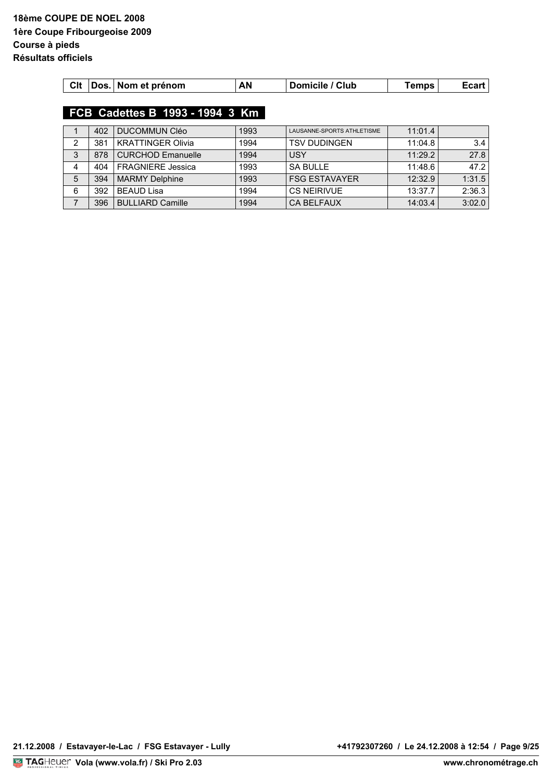| $\mathbf{C}$ | 201 | Nom et prénom | AN | Club<br>11e | ™ns ∶ |  |
|--------------|-----|---------------|----|-------------|-------|--|
|              |     |               |    |             |       |  |

## **FCB Cadettes B 1993 - 1994 3 Km**

|   | 402 | <b>DUCOMMUN Cléo</b>     | 1993 | LAUSANNE-SPORTS ATHLETISME | 11:01.4 |        |
|---|-----|--------------------------|------|----------------------------|---------|--------|
| っ | 381 | <b>KRATTINGER Olivia</b> | 1994 | <b>TSV DUDINGEN</b>        | 11:04.8 | 3.4    |
| 3 | 878 | <b>CURCHOD Emanuelle</b> | 1994 | <b>USY</b>                 | 11:29.2 | 27.8   |
| Δ | 404 | <b>FRAGNIERE</b> Jessica | 1993 | <b>SA BULLE</b>            | 11:48.6 | 47.2   |
| 5 | 394 | <b>MARMY Delphine</b>    | 1993 | l FSG ESTAVAYER            | 12:32.9 | 1:31.5 |
| 6 | 392 | <b>BEAUD Lisa</b>        | 1994 | <b>CS NEIRIVUE</b>         | 13:37.7 | 2:36.3 |
|   | 396 | <b>BULLIARD Camille</b>  | 1994 | CA BELFAUX                 | 14:03.4 | 3:02.0 |

21.12.2008 / Estavayer-le-Lac / FSG Estavayer - Lully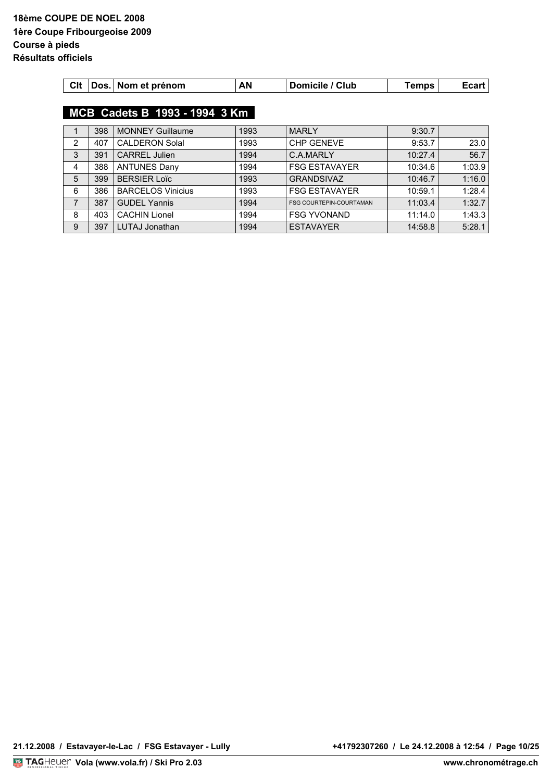| Clt<br>Nom et prénom | ۹Ν | Club<br>. III A |  |  |
|----------------------|----|-----------------|--|--|
|----------------------|----|-----------------|--|--|

## **MCB Cadets B 1993 - 1994 3 Km**

|   | 398 | <b>MONNEY Guillaume</b>  | 1993 | <b>MARLY</b>                   | 9:30.7  |        |
|---|-----|--------------------------|------|--------------------------------|---------|--------|
| 2 | 407 | <b>CALDERON Solal</b>    | 1993 | <b>CHP GENEVE</b>              | 9:53.7  | 23.0   |
| 3 | 391 | <b>CARREL Julien</b>     | 1994 | C.A.MARLY                      | 10:27.4 | 56.7   |
| 4 | 388 | <b>ANTUNES Dany</b>      | 1994 | <b>FSG ESTAVAYER</b>           | 10:34.6 | 1:03.9 |
| 5 | 399 | <b>BERSIER Loïc</b>      | 1993 | <b>GRANDSIVAZ</b>              | 10:46.7 | 1:16.0 |
| 6 | 386 | <b>BARCELOS Vinicius</b> | 1993 | <b>FSG ESTAVAYER</b>           | 10:59.1 | 1:28.4 |
| 7 | 387 | <b>GUDEL Yannis</b>      | 1994 | <b>FSG COURTEPIN-COURTAMAN</b> | 11:03.4 | 1:32.7 |
| 8 | 403 | <b>CACHIN Lionel</b>     | 1994 | <b>FSG YVONAND</b>             | 11:14.0 | 1:43.3 |
| 9 | 397 | LUTAJ Jonathan           | 1994 | <b>ESTAVAYER</b>               | 14:58.8 | 5:28.1 |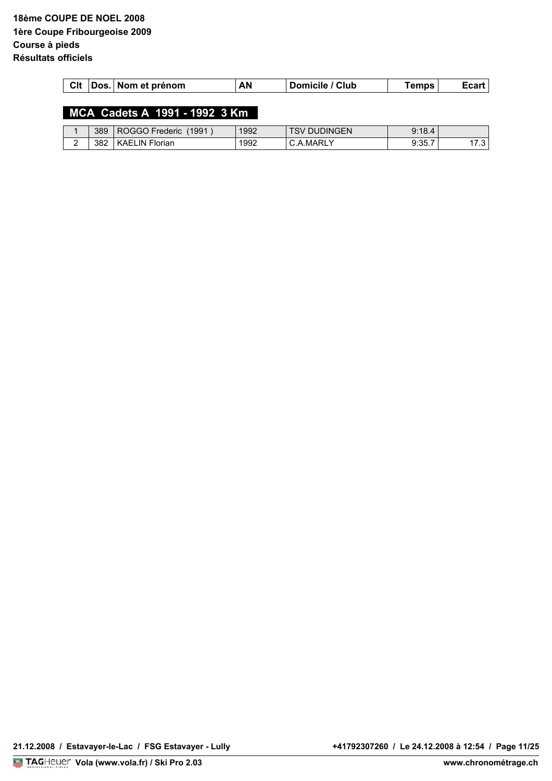|  | ∣ Clt │Dos.│Nom et prénom | ΑN | Domicile / Club | Temps . | <b>Ecart</b> |
|--|---------------------------|----|-----------------|---------|--------------|
|  |                           |    |                 |         |              |

## **MCA Cadets A 1991 - 1992 3 Km**

|          | 389 | 1991<br>Frederic<br>R'<br>JI ¬I ¬I             | 1992 | <b>JDINGEN</b><br>л<br>$\sqrt{ }$ | $Q \cdot 1R$ $\Lambda$<br>Y. 10.4 |                 |
|----------|-----|------------------------------------------------|------|-----------------------------------|-----------------------------------|-----------------|
| <u>_</u> | 382 | $\mathbf{K}^{\prime}$<br>Florian<br>.AF'<br>IN | 1992 | MARL<br>$\mathcal{L}$ .           | 0.357<br>ອ.ບບ.≀                   | $\sim$<br>ں. ا، |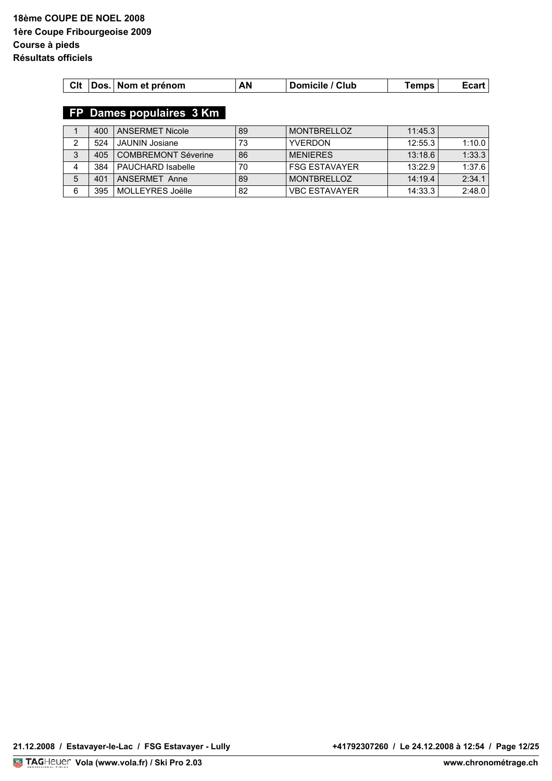|  | Clt |  | Nom et prénom | ΑN | Club<br>ם וי | emns |  |
|--|-----|--|---------------|----|--------------|------|--|
|--|-----|--|---------------|----|--------------|------|--|

## **FP Dames populaires 3 Km**

|   | 400 | <b>ANSERMET Nicole</b>     | 89 | <b>MONTBRELLOZ</b>   | 11:45.3 |        |
|---|-----|----------------------------|----|----------------------|---------|--------|
|   | 524 | <b>JAUNIN Josiane</b>      | 73 | YVFRDON              | 12:55.3 | 1:10.0 |
| 3 | 405 | <b>COMBREMONT Séverine</b> | 86 | <b>MENIFRES</b>      | 13:18.6 | 1:33.3 |
|   | 384 | PAUCHARD Isabelle          | 70 | <b>FSG ESTAVAYER</b> | 13:22.9 | 1:37.6 |
| 5 | 401 | ANSERMET Anne              | 89 | MONTBRELLOZ          | 14:19.4 | 2:34.1 |
| 6 | 395 | MOLLEYRES Joëlle           | 82 | <b>VBC ESTAVAYER</b> | 14:33.3 | 2:48.0 |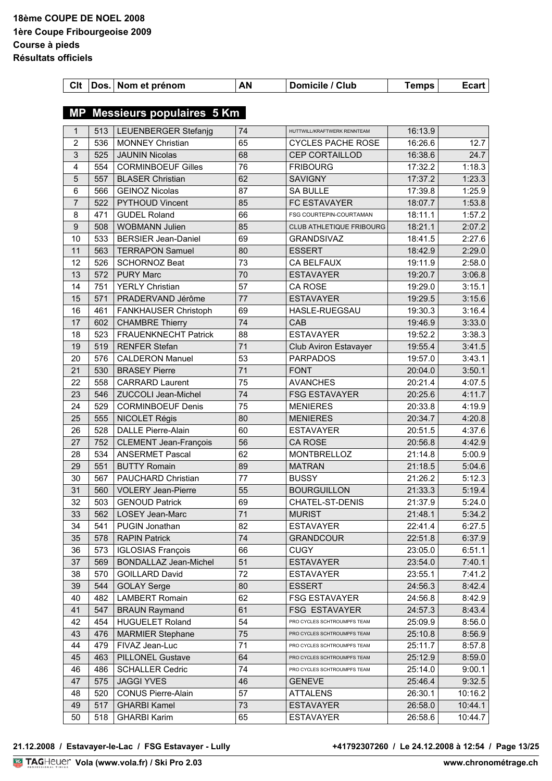| <b>Clt</b>     |     | Dos. Nom et prénom           | AN | Domicile / Club                 | <b>Temps</b> | <b>Ecart</b> |
|----------------|-----|------------------------------|----|---------------------------------|--------------|--------------|
|                |     |                              |    |                                 |              |              |
|                |     | MP Messieurs populaires 5 Km |    |                                 |              |              |
| $\mathbf{1}$   | 513 | LEUENBERGER Stefanjg         | 74 | HUTTWILL/KRAFTWERK RENNTEAM     | 16:13.9      |              |
| $\overline{2}$ | 536 | <b>MONNEY Christian</b>      | 65 | <b>CYCLES PACHE ROSE</b>        | 16:26.6      | 12.7         |
| $\mathsf 3$    | 525 | <b>JAUNIN Nicolas</b>        | 68 | <b>CEP CORTAILLOD</b>           | 16:38.6      | 24.7         |
| 4              | 554 | <b>CORMINBOEUF Gilles</b>    | 76 | <b>FRIBOURG</b>                 | 17:32.2      | 1:18.3       |
| 5              | 557 | <b>BLASER Christian</b>      | 62 | <b>SAVIGNY</b>                  | 17:37.2      | 1:23.3       |
| 6              | 566 | <b>GEINOZ Nicolas</b>        | 87 | <b>SA BULLE</b>                 | 17:39.8      | 1:25.9       |
| $\overline{7}$ | 522 | PYTHOUD Vincent              | 85 | FC ESTAVAYER                    | 18:07.7      | 1:53.8       |
| 8              | 471 | <b>GUDEL Roland</b>          | 66 | FSG COURTEPIN-COURTAMAN         | 18:11.1      | 1:57.2       |
| 9              | 508 | <b>WOBMANN Julien</b>        | 85 | <b>CLUB ATHLETIQUE FRIBOURG</b> | 18:21.1      | 2:07.2       |
| 10             | 533 | <b>BERSIER Jean-Daniel</b>   | 69 | <b>GRANDSIVAZ</b>               | 18:41.5      | 2:27.6       |
| 11             | 563 | <b>TERRAPON Samuel</b>       | 80 | <b>ESSERT</b>                   | 18:42.9      | 2:29.0       |
| 12             | 526 | <b>SCHORNOZ Beat</b>         | 73 | <b>CA BELFAUX</b>               | 19:11.9      | 2:58.0       |
| 13             | 572 | <b>PURY Marc</b>             | 70 | <b>ESTAVAYER</b>                | 19:20.7      | 3:06.8       |
| 14             | 751 | <b>YERLY Christian</b>       | 57 | <b>CA ROSE</b>                  | 19:29.0      | 3:15.1       |
| 15             | 571 | PRADERVAND Jérôme            | 77 | <b>ESTAVAYER</b>                | 19:29.5      | 3:15.6       |
| 16             | 461 | FANKHAUSER Christoph         | 69 | HASLE-RUEGSAU                   | 19:30.3      | 3:16.4       |
| 17             | 602 | <b>CHAMBRE Thierry</b>       | 74 | CAB                             | 19:46.9      | 3:33.0       |
| 18             | 523 | <b>FRAUENKNECHT Patrick</b>  | 88 | <b>ESTAVAYER</b>                | 19:52.2      | 3:38.3       |
| 19             | 519 | <b>RENFER Stefan</b>         | 71 | <b>Club Aviron Estavayer</b>    | 19:55.4      | 3:41.5       |
| 20             | 576 | <b>CALDERON Manuel</b>       | 53 | <b>PARPADOS</b>                 | 19:57.0      | 3:43.1       |
| 21             | 530 | <b>BRASEY Pierre</b>         | 71 | <b>FONT</b>                     | 20:04.0      | 3:50.1       |
| 22             | 558 | <b>CARRARD Laurent</b>       | 75 | <b>AVANCHES</b>                 | 20:21.4      | 4:07.5       |
| 23             | 546 | <b>ZUCCOLI Jean-Michel</b>   | 74 | <b>FSG ESTAVAYER</b>            | 20:25.6      | 4:11.7       |
| 24             | 529 | <b>CORMINBOEUF Denis</b>     | 75 | <b>MENIERES</b>                 | 20:33.8      | 4:19.9       |
| 25             | 555 | NICOLET Régis                | 80 | <b>MENIERES</b>                 | 20:34.7      | 4:20.8       |
| 26             | 528 | <b>DALLE Pierre-Alain</b>    | 60 | <b>ESTAVAYER</b>                | 20:51.5      | 4:37.6       |
| 27             | 752 | <b>CLEMENT Jean-François</b> | 56 | <b>CA ROSE</b>                  | 20:56.8      | 4:42.9       |
| 28             | 534 | <b>ANSERMET Pascal</b>       | 62 | <b>MONTBRELLOZ</b>              | 21:14.8      | 5:00.9       |
| 29             | 551 | <b>BUTTY Romain</b>          | 89 | <b>MATRAN</b>                   | 21:18.5      | 5:04.6       |
| 30             | 567 | <b>PAUCHARD Christian</b>    | 77 | <b>BUSSY</b>                    | 21:26.2      | 5:12.3       |
| 31             | 560 | <b>VOLERY Jean-Pierre</b>    | 55 | <b>BOURGUILLON</b>              | 21:33.3      | 5:19.4       |
| 32             | 503 | <b>GENOUD Patrick</b>        | 69 | CHATEL-ST-DENIS                 | 21:37.9      | 5:24.0       |
| 33             | 562 | LOSEY Jean-Marc              | 71 | <b>MURIST</b>                   | 21:48.1      | 5:34.2       |
| 34             | 541 | PUGIN Jonathan               | 82 | <b>ESTAVAYER</b>                | 22:41.4      | 6:27.5       |
| 35             | 578 | <b>RAPIN Patrick</b>         | 74 | <b>GRANDCOUR</b>                | 22:51.8      | 6:37.9       |
| 36             | 573 | <b>IGLOSIAS François</b>     | 66 | <b>CUGY</b>                     | 23:05.0      | 6:51.1       |
| 37             | 569 | BONDALLAZ Jean-Michel        | 51 | <b>ESTAVAYER</b>                | 23:54.0      | 7:40.1       |
| 38             | 570 | <b>GOILLARD David</b>        | 72 | <b>ESTAVAYER</b>                | 23:55.1      | 7:41.2       |
| 39             | 544 | <b>GOLAY Serge</b>           | 80 | <b>ESSERT</b>                   | 24:56.3      | 8:42.4       |
| 40             | 482 | <b>LAMBERT Romain</b>        | 62 | <b>FSG ESTAVAYER</b>            | 24:56.8      | 8:42.9       |
| 41             | 547 | <b>BRAUN Raymand</b>         | 61 | FSG ESTAVAYER                   | 24:57.3      | 8:43.4       |
| 42             | 454 | <b>HUGUELET Roland</b>       | 54 | PRO CYCLES SCHTROUMPFS TEAM     | 25:09.9      | 8:56.0       |
| 43             | 476 | <b>MARMIER Stephane</b>      | 75 | PRO CYCLES SCHTROUMPFS TEAM     | 25:10.8      | 8:56.9       |
| 44             | 479 | FIVAZ Jean-Luc               | 71 | PRO CYCLES SCHTROUMPFS TEAM     | 25:11.7      | 8:57.8       |
| 45             | 463 | <b>PILLONEL Gustave</b>      | 64 | PRO CYCLES SCHTROUMPFS TEAM     | 25:12.9      | 8:59.0       |
| 46             | 486 | <b>SCHALLER Cedric</b>       | 74 | PRO CYCLES SCHTROUMPFS TEAM     | 25:14.0      | 9:00.1       |
| 47             | 575 | <b>JAGGI YVES</b>            | 46 | <b>GENEVE</b>                   | 25:46.4      | 9:32.5       |
| 48             | 520 | <b>CONUS Pierre-Alain</b>    | 57 | <b>ATTALENS</b>                 | 26:30.1      | 10:16.2      |
| 49             | 517 | <b>GHARBI Kamel</b>          | 73 | <b>ESTAVAYER</b>                | 26:58.0      | 10:44.1      |
| 50             | 518 | <b>GHARBI Karim</b>          | 65 | <b>ESTAVAYER</b>                | 26:58.6      | 10:44.7      |

21.12.2008 / Estavayer-le-Lac / FSG Estavayer - Lully

+41792307260 / Le 24.12.2008 à 12:54 / Page 13/25<br>www.chronométrage.ch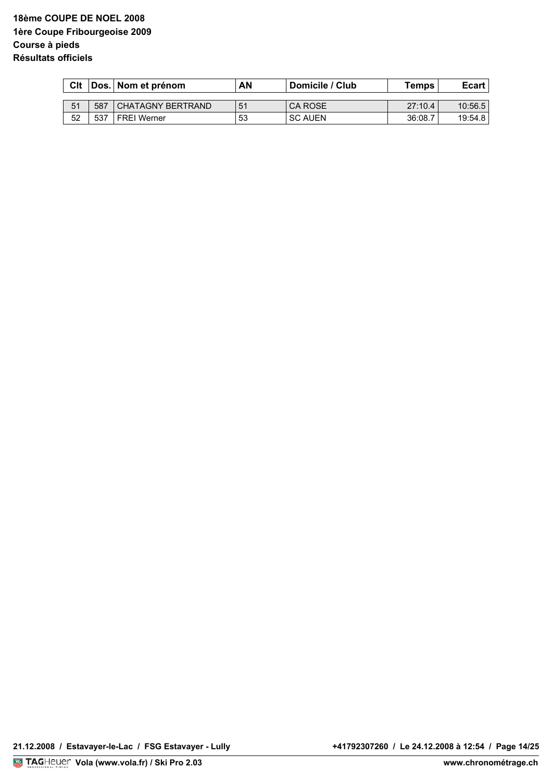| Clt |      | ⊺Dos. ∣ Nom et prénom    | ΑN | Domicile / Club | Temps   | Ecart $ $ |
|-----|------|--------------------------|----|-----------------|---------|-----------|
|     |      |                          |    |                 |         |           |
| 51  | 587  | <b>CHATAGNY BERTRAND</b> | 51 | CA ROSE         | 27:10.4 | 10:56.5   |
| 52  | -537 | <b>FREI</b> Werner       | 53 | ' SC AUEN       | 36:08.7 | 19:54.8   |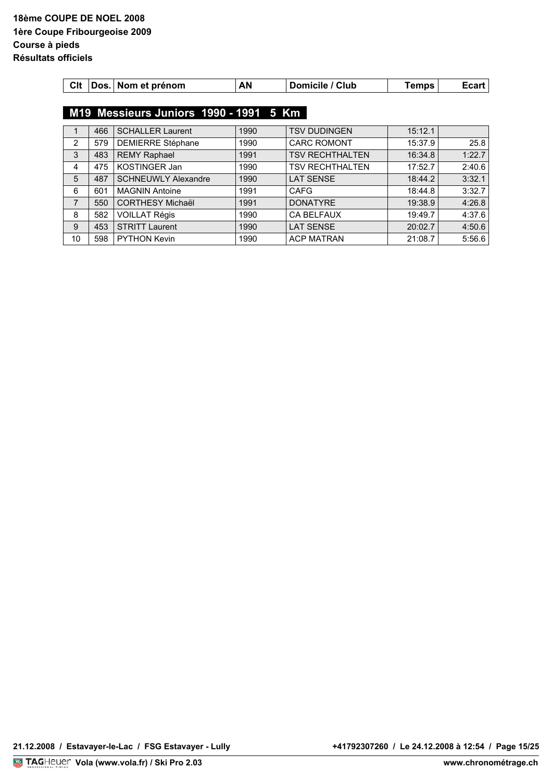| Clt<br>AN<br>∣ Nom et prénom<br>Club<br>. |  |
|-------------------------------------------|--|
|-------------------------------------------|--|

## **M19 Messieurs Juniors 1990 - 1991 5 Km**

|                | 466 | <b>SCHALLER Laurent</b>    | 1990 | <b>TSV DUDINGEN</b>    | 15:12.1 |        |
|----------------|-----|----------------------------|------|------------------------|---------|--------|
| $\overline{2}$ | 579 | <b>DEMIERRE Stéphane</b>   | 1990 | <b>CARC ROMONT</b>     | 15:37.9 | 25.8   |
| 3              | 483 | <b>REMY Raphael</b>        | 1991 | <b>TSV RECHTHALTEN</b> | 16:34.8 | 1:22.7 |
| 4              | 475 | <b>KOSTINGER Jan</b>       | 1990 | <b>TSV RECHTHALTEN</b> | 17:52.7 | 2:40.6 |
| 5              | 487 | <b>SCHNEUWLY Alexandre</b> | 1990 | <b>LAT SENSE</b>       | 18:44.2 | 3:32.1 |
| 6              | 601 | <b>MAGNIN Antoine</b>      | 1991 | <b>CAFG</b>            | 18:44.8 | 3:32.7 |
| 7              | 550 | <b>CORTHESY Michaël</b>    | 1991 | <b>DONATYRE</b>        | 19:38.9 | 4:26.8 |
| 8              | 582 | <b>VOILLAT Régis</b>       | 1990 | <b>CA BELFAUX</b>      | 19:49.7 | 4:37.6 |
| 9              | 453 | <b>STRITT Laurent</b>      | 1990 | <b>LAT SENSE</b>       | 20:02.7 | 4:50.6 |
| 10             | 598 | PYTHON Kevin               | 1990 | <b>ACP MATRAN</b>      | 21:08.7 | 5:56.6 |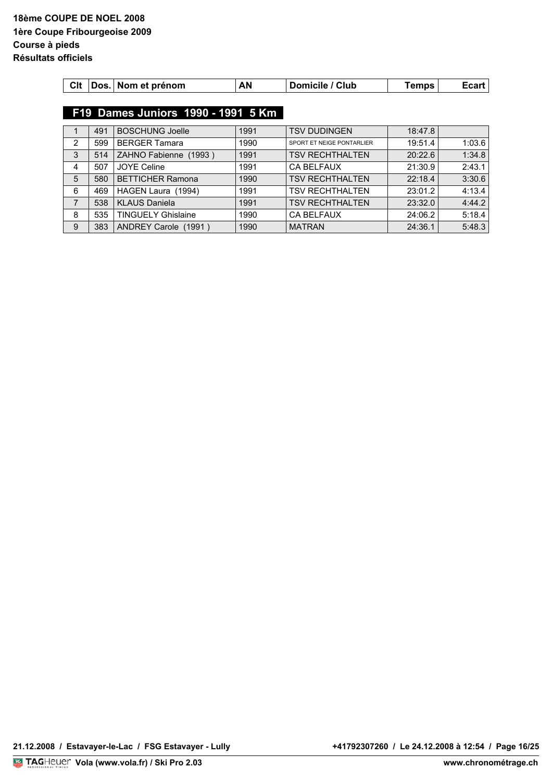| $\mathbf{C}$<br>∶prénom<br>Nom et | ΑN | CluL<br>. | mnc |  |
|-----------------------------------|----|-----------|-----|--|
|-----------------------------------|----|-----------|-----|--|

## **F19 Dames Juniors 1990 - 1991 5 Km**

|                | 491 | <b>BOSCHUNG Joelle</b>    | 1991 | <b>TSV DUDINGEN</b>       | 18:47.8 |        |
|----------------|-----|---------------------------|------|---------------------------|---------|--------|
| $\overline{2}$ | 599 | <b>BERGER Tamara</b>      | 1990 | SPORT ET NEIGE PONTARLIER | 19:51.4 | 1:03.6 |
| 3              | 514 | ZAHNO Fabienne (1993)     | 1991 | <b>TSV RECHTHALTEN</b>    | 20:22.6 | 1:34.8 |
| 4              | 507 | <b>JOYE Celine</b>        | 1991 | CA BELFAUX                | 21:30.9 | 2:43.1 |
| 5              | 580 | <b>BETTICHER Ramona</b>   | 1990 | <b>TSV RECHTHALTEN</b>    | 22:18.4 | 3:30.6 |
| 6              | 469 | HAGEN Laura (1994)        | 1991 | <b>TSV RECHTHALTEN</b>    | 23:01.2 | 4:13.4 |
| 7              | 538 | <b>KLAUS Daniela</b>      | 1991 | <b>TSV RECHTHALTEN</b>    | 23:32.0 | 4:44.2 |
| 8              | 535 | <b>TINGUELY Ghislaine</b> | 1990 | CA BELFAUX                | 24:06.2 | 5:18.4 |
| 9              | 383 | ANDREY Carole (1991)      | 1990 | <b>MATRAN</b>             | 24:36.1 | 5:48.3 |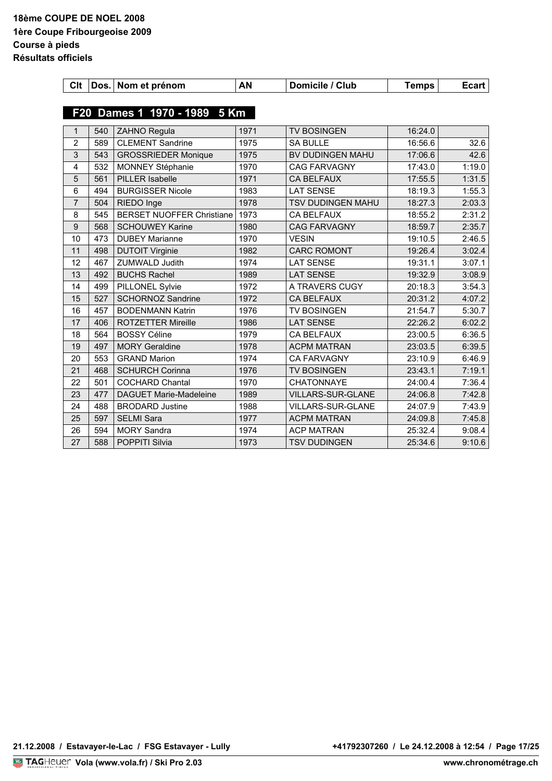| <b>Clt</b>     |     | Dos. Nom et prénom               | AN   | Domicile / Club          | <b>Temps</b> | <b>Ecart</b> |
|----------------|-----|----------------------------------|------|--------------------------|--------------|--------------|
|                |     |                                  |      |                          |              |              |
|                |     | F20 Dames 1 1970 - 1989 5 Km     |      |                          |              |              |
| $\mathbf{1}$   | 540 | ZAHNO Regula                     | 1971 | <b>TV BOSINGEN</b>       | 16:24.0      |              |
| $\overline{2}$ | 589 | <b>CLEMENT Sandrine</b>          | 1975 | <b>SA BULLE</b>          | 16:56.6      | 32.6         |
| 3              | 543 | <b>GROSSRIEDER Monique</b>       | 1975 | BV DUDINGEN MAHU         | 17:06.6      | 42.6         |
| 4              | 532 | MONNEY Stéphanie                 | 1970 | <b>CAG FARVAGNY</b>      | 17:43.0      | 1:19.0       |
| 5              | 561 | <b>PILLER Isabelle</b>           | 1971 | <b>CA BELFAUX</b>        | 17:55.5      | 1:31.5       |
| 6              | 494 | <b>BURGISSER Nicole</b>          | 1983 | <b>LAT SENSE</b>         | 18:19.3      | 1:55.3       |
| $\overline{7}$ | 504 | RIEDO Inge                       | 1978 | <b>TSV DUDINGEN MAHU</b> | 18:27.3      | 2:03.3       |
| 8              | 545 | <b>BERSET NUOFFER Christiane</b> | 1973 | <b>CA BELFAUX</b>        | 18:55.2      | 2:31.2       |
| 9              | 568 | <b>SCHOUWEY Karine</b>           | 1980 | <b>CAG FARVAGNY</b>      | 18:59.7      | 2:35.7       |
| 10             | 473 | <b>DUBEY Marianne</b>            | 1970 | <b>VESIN</b>             | 19:10.5      | 2:46.5       |
| 11             | 498 | <b>DUTOIT Virginie</b>           | 1982 | <b>CARC ROMONT</b>       | 19:26.4      | 3:02.4       |
| 12             | 467 | <b>ZUMWALD Judith</b>            | 1974 | <b>LAT SENSE</b>         | 19:31.1      | 3:07.1       |
| 13             | 492 | <b>BUCHS Rachel</b>              | 1989 | <b>LAT SENSE</b>         | 19:32.9      | 3:08.9       |
| 14             | 499 | PILLONEL Sylvie                  | 1972 | A TRAVERS CUGY           | 20:18.3      | 3:54.3       |
| 15             | 527 | <b>SCHORNOZ Sandrine</b>         | 1972 | <b>CA BELFAUX</b>        | 20:31.2      | 4:07.2       |
| 16             | 457 | <b>BODENMANN Katrin</b>          | 1976 | <b>TV BOSINGEN</b>       | 21:54.7      | 5:30.7       |
| 17             | 406 | <b>ROTZETTER Mireille</b>        | 1986 | <b>LAT SENSE</b>         | 22:26.2      | 6:02.2       |
| 18             | 564 | <b>BOSSY Céline</b>              | 1979 | CA BELFAUX               | 23:00.5      | 6:36.5       |
| 19             | 497 | <b>MORY Geraldine</b>            | 1978 | <b>ACPM MATRAN</b>       | 23:03.5      | 6:39.5       |
| 20             | 553 | <b>GRAND Marion</b>              | 1974 | <b>CA FARVAGNY</b>       | 23:10.9      | 6:46.9       |
| 21             | 468 | <b>SCHURCH Corinna</b>           | 1976 | <b>TV BOSINGEN</b>       | 23:43.1      | 7:19.1       |
| 22             | 501 | <b>COCHARD Chantal</b>           | 1970 | <b>CHATONNAYE</b>        | 24:00.4      | 7:36.4       |
| 23             | 477 | <b>DAGUET Marie-Madeleine</b>    | 1989 | VILLARS-SUR-GLANE        | 24:06.8      | 7:42.8       |
| 24             | 488 | <b>BRODARD Justine</b>           | 1988 | VILLARS-SUR-GLANE        | 24:07.9      | 7:43.9       |
| 25             | 597 | <b>SELMI Sara</b>                | 1977 | <b>ACPM MATRAN</b>       | 24:09.8      | 7:45.8       |
| 26             | 594 | <b>MORY Sandra</b>               | 1974 | <b>ACP MATRAN</b>        | 25:32.4      | 9:08.4       |
| 27             | 588 | <b>POPPITI Silvia</b>            | 1973 | <b>TSV DUDINGEN</b>      | 25:34.6      | 9:10.6       |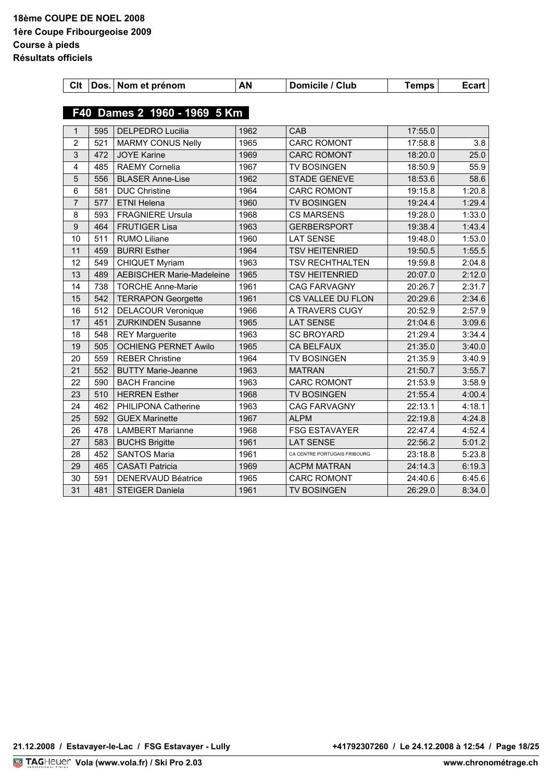| <b>Clt</b>     |     | Dos. Nom et prénom               | AN   | Domicile / Club              | <b>Temps</b> | <b>Ecart</b> |
|----------------|-----|----------------------------------|------|------------------------------|--------------|--------------|
|                |     |                                  |      |                              |              |              |
|                |     | F40 Dames 2 1960 - 1969 5 Km     |      |                              |              |              |
| $\mathbf{1}$   | 595 | <b>DELPEDRO Lucilia</b>          | 1962 | CAB                          | 17:55.0      |              |
| $\overline{2}$ | 521 | <b>MARMY CONUS Nelly</b>         | 1965 | <b>CARC ROMONT</b>           | 17:58.8      | 3.8          |
| 3              | 472 | <b>JOYE Karine</b>               | 1969 | <b>CARC ROMONT</b>           | 18:20.0      | 25.0         |
| 4              | 485 | <b>RAEMY Cornelia</b>            | 1967 | <b>TV BOSINGEN</b>           | 18:50.9      | 55.9         |
| 5              | 556 | <b>BLASER Anne-Lise</b>          | 1962 | <b>STADE GENEVE</b>          | 18:53.6      | 58.6         |
| $6\phantom{1}$ | 581 | <b>DUC Christine</b>             | 1964 | <b>CARC ROMONT</b>           | 19:15.8      | 1:20.8       |
| $\overline{7}$ | 577 | <b>ETNI Helena</b>               | 1960 | <b>TV BOSINGEN</b>           | 19:24.4      | 1:29.4       |
| 8              | 593 | <b>FRAGNIERE Ursula</b>          | 1968 | <b>CS MARSENS</b>            | 19:28.0      | 1:33.0       |
| 9              | 464 | <b>FRUTIGER Lisa</b>             | 1963 | <b>GERBERSPORT</b>           | 19:38.4      | 1:43.4       |
| 10             | 511 | <b>RUMO Liliane</b>              | 1960 | <b>LAT SENSE</b>             | 19:48.0      | 1:53.0       |
| 11             | 459 | <b>BURRI Esther</b>              | 1964 | <b>TSV HEITENRIED</b>        | 19:50.5      | 1:55.5       |
| 12             | 549 | <b>CHIQUET Myriam</b>            | 1963 | <b>TSV RECHTHALTEN</b>       | 19:59.8      | 2:04.8       |
| 13             | 489 | <b>AEBISCHER Marie-Madeleine</b> | 1965 | <b>TSV HEITENRIED</b>        | 20:07.0      | 2:12.0       |
| 14             | 738 | <b>TORCHE Anne-Marie</b>         | 1961 | <b>CAG FARVAGNY</b>          | 20:26.7      | 2:31.7       |
| 15             | 542 | <b>TERRAPON Georgette</b>        | 1961 | CS VALLEE DU FLON            | 20:29.6      | 2:34.6       |
| 16             | 512 | <b>DELACOUR Veronique</b>        | 1966 | A TRAVERS CUGY               | 20:52.9      | 2:57.9       |
| 17             | 451 | <b>ZURKINDEN Susanne</b>         | 1965 | <b>LAT SENSE</b>             | 21:04.6      | 3:09.6       |
| 18             | 548 | <b>REY Marguerite</b>            | 1963 | <b>SC BROYARD</b>            | 21:29.4      | 3:34.4       |
| 19             | 505 | <b>OCHIENG PERNET Awilo</b>      | 1965 | <b>CA BELFAUX</b>            | 21:35.0      | 3:40.0       |
| 20             | 559 | <b>REBER Christine</b>           | 1964 | TV BOSINGEN                  | 21:35.9      | 3:40.9       |
| 21             | 552 | <b>BUTTY Marie-Jeanne</b>        | 1963 | <b>MATRAN</b>                | 21:50.7      | 3:55.7       |
| 22             | 590 | <b>BACH Francine</b>             | 1963 | <b>CARC ROMONT</b>           | 21:53.9      | 3:58.9       |
| 23             | 510 | <b>HERREN Esther</b>             | 1968 | <b>TV BOSINGEN</b>           | 21:55.4      | 4:00.4       |
| 24             | 462 | PHILIPONA Catherine              | 1963 | <b>CAG FARVAGNY</b>          | 22:13.1      | 4:18.1       |
| 25             | 592 | <b>GUEX Marinette</b>            | 1967 | <b>ALPM</b>                  | 22:19.8      | 4:24.8       |
| 26             | 478 | <b>LAMBERT Marianne</b>          | 1968 | <b>FSG ESTAVAYER</b>         | 22:47.4      | 4:52.4       |
| 27             | 583 | <b>BUCHS Brigitte</b>            | 1961 | <b>LAT SENSE</b>             | 22:56.2      | 5:01.2       |
| 28             | 452 | <b>SANTOS Maria</b>              | 1961 | CA CENTRE PORTUGAIS FRIBOURG | 23:18.8      | 5:23.8       |
| 29             | 465 | <b>CASATI Patricia</b>           | 1969 | <b>ACPM MATRAN</b>           | 24:14.3      | 6:19.3       |
| 30             | 591 | <b>DENERVAUD Béatrice</b>        | 1965 | <b>CARC ROMONT</b>           | 24:40.6      | 6:45.6       |
| 31             | 481 | <b>STEIGER Daniela</b>           | 1961 | <b>TV BOSINGEN</b>           | 26:29.0      | 8:34.0       |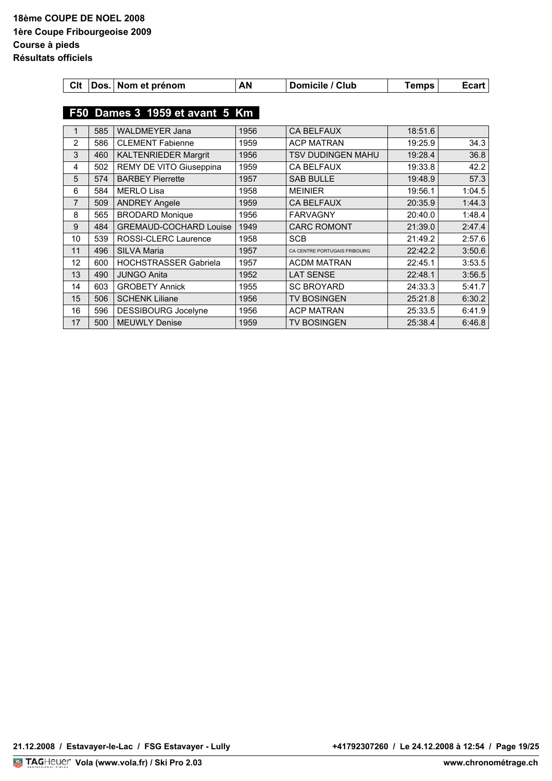| Clt | 201 | Nom et prénom | AN | cile / Club |  |  |
|-----|-----|---------------|----|-------------|--|--|
|-----|-----|---------------|----|-------------|--|--|

## **F50 Dames 3 1959 et avant 5 Km**

|    | 585 | <b>WALDMEYER Jana</b>         | 1956 | <b>CA BELFAUX</b>            | 18:51.6 |        |
|----|-----|-------------------------------|------|------------------------------|---------|--------|
| 2  | 586 | <b>CLEMENT Fabienne</b>       | 1959 | <b>ACP MATRAN</b>            | 19:25.9 | 34.3   |
| 3  | 460 | <b>KALTENRIEDER Margrit</b>   | 1956 | <b>TSV DUDINGEN MAHU</b>     | 19:28.4 | 36.8   |
| 4  | 502 | REMY DE VITO Giuseppina       | 1959 | <b>CA BELFAUX</b>            | 19:33.8 | 42.2   |
| 5  | 574 | <b>BARBEY Pierrette</b>       | 1957 | <b>SAB BULLE</b>             | 19:48.9 | 57.3   |
| 6  | 584 | <b>MERLO Lisa</b>             | 1958 | <b>MEINIER</b>               | 19:56.1 | 1:04.5 |
| 7  | 509 | <b>ANDREY Angele</b>          | 1959 | <b>CA BELFAUX</b>            | 20:35.9 | 1:44.3 |
| 8  | 565 | <b>BRODARD Monique</b>        | 1956 | <b>FARVAGNY</b>              | 20:40.0 | 1:48.4 |
| 9  | 484 | <b>GREMAUD-COCHARD Louise</b> | 1949 | <b>CARC ROMONT</b>           | 21:39.0 | 2:47.4 |
| 10 | 539 | ROSSI-CLERC Laurence          | 1958 | <b>SCB</b>                   | 21:49.2 | 2:57.6 |
| 11 | 496 | <b>SILVA Maria</b>            | 1957 | CA CENTRE PORTUGAIS FRIBOURG | 22:42.2 | 3:50.6 |
| 12 | 600 | <b>HOCHSTRASSER Gabriela</b>  | 1957 | <b>ACDM MATRAN</b>           | 22:45.1 | 3:53.5 |
| 13 | 490 | <b>JUNGO Anita</b>            | 1952 | <b>LAT SENSE</b>             | 22:48.1 | 3:56.5 |
| 14 | 603 | <b>GROBETY Annick</b>         | 1955 | <b>SC BROYARD</b>            | 24:33.3 | 5:41.7 |
| 15 | 506 | <b>SCHENK Liliane</b>         | 1956 | <b>TV BOSINGEN</b>           | 25:21.8 | 6:30.2 |
| 16 | 596 | <b>DESSIBOURG Jocelyne</b>    | 1956 | <b>ACP MATRAN</b>            | 25:33.5 | 6:41.9 |
| 17 | 500 | <b>MEUWLY Denise</b>          | 1959 | <b>TV BOSINGEN</b>           | 25:38.4 | 6:46.8 |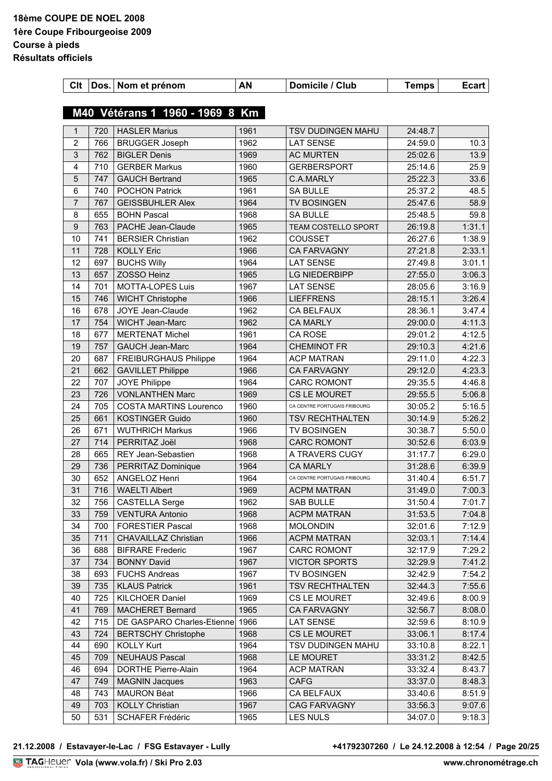| Clt            |     | Dos. Nom et prénom              | AN   | Domicile / Club              | <b>Temps</b> | Ecart  |
|----------------|-----|---------------------------------|------|------------------------------|--------------|--------|
|                |     |                                 |      |                              |              |        |
|                |     | M40 Vétérans 1 1960 - 1969 8 Km |      |                              |              |        |
| $\mathbf{1}$   | 720 | <b>HASLER Marius</b>            | 1961 | <b>TSV DUDINGEN MAHU</b>     | 24:48.7      |        |
| $\overline{2}$ | 766 | <b>BRUGGER Joseph</b>           | 1962 | <b>LAT SENSE</b>             | 24:59.0      | 10.3   |
| 3              | 762 | <b>BIGLER Denis</b>             | 1969 | <b>AC MURTEN</b>             | 25:02.6      | 13.9   |
| 4              | 710 | <b>GERBER Markus</b>            | 1960 | <b>GERBERSPORT</b>           | 25:14.6      | 25.9   |
| 5              | 747 | <b>GAUCH Bertrand</b>           | 1965 | C.A.MARLY                    | 25:22.3      | 33.6   |
| 6              | 740 | <b>POCHON Patrick</b>           | 1961 | <b>SA BULLE</b>              | 25:37.2      | 48.5   |
| $\overline{7}$ | 767 | <b>GEISSBUHLER Alex</b>         | 1964 | <b>TV BOSINGEN</b>           | 25:47.6      | 58.9   |
| 8              | 655 | <b>BOHN Pascal</b>              | 1968 | <b>SA BULLE</b>              | 25:48.5      | 59.8   |
| 9              | 763 | PACHE Jean-Claude               | 1965 | TEAM COSTELLO SPORT          | 26:19.8      | 1:31.1 |
| 10             | 741 | <b>BERSIER Christian</b>        | 1962 | COUSSET                      | 26:27.6      | 1:38.9 |
| 11             | 728 | <b>KOLLY Eric</b>               | 1966 | <b>CA FARVAGNY</b>           | 27:21.8      | 2:33.1 |
| 12             | 697 | <b>BUCHS Willy</b>              | 1964 | <b>LAT SENSE</b>             | 27:49.8      | 3:01.1 |
| 13             | 657 | ZOSSO Heinz                     | 1965 | <b>LG NIEDERBIPP</b>         | 27:55.0      | 3:06.3 |
| 14             | 701 | <b>MOTTA-LOPES Luis</b>         | 1967 | <b>LAT SENSE</b>             | 28:05.6      | 3:16.9 |
| 15             | 746 | <b>WICHT Christophe</b>         | 1966 | <b>LIEFFRENS</b>             | 28:15.1      | 3:26.4 |
| 16             | 678 | JOYE Jean-Claude                | 1962 | CA BELFAUX                   | 28:36.1      | 3:47.4 |
| 17             | 754 | <b>WICHT Jean-Marc</b>          | 1962 | <b>CA MARLY</b>              | 29:00.0      | 4:11.3 |
| 18             | 677 | <b>MERTENAT Michel</b>          | 1961 | CA ROSE                      | 29:01.2      | 4:12.5 |
| 19             | 757 | <b>GAUCH Jean-Marc</b>          | 1964 | <b>CHEMINOT FR</b>           | 29:10.3      | 4:21.6 |
| 20             | 687 | <b>FREIBURGHAUS Philippe</b>    | 1964 | <b>ACP MATRAN</b>            | 29:11.0      | 4:22.3 |
| 21             | 662 | <b>GAVILLET Philippe</b>        | 1966 | <b>CA FARVAGNY</b>           | 29:12.0      | 4:23.3 |
| 22             | 707 | <b>JOYE Philippe</b>            | 1964 | <b>CARC ROMONT</b>           | 29:35.5      | 4:46.8 |
| 23             | 726 | <b>VONLANTHEN Marc</b>          | 1969 | CS LE MOURET                 | 29:55.5      | 5:06.8 |
| 24             | 705 | <b>COSTA MARTINS Lourenco</b>   | 1960 | CA CENTRE PORTUGAIS FRIBOURG | 30:05.2      | 5:16.5 |
| 25             | 661 | <b>KOSTINGER Guido</b>          | 1960 | <b>TSV RECHTHALTEN</b>       | 30:14.9      | 5:26.2 |
| 26             | 671 | <b>WUTHRICH Markus</b>          | 1966 | <b>TV BOSINGEN</b>           | 30:38.7      | 5:50.0 |
| 27             | 714 | PERRITAZ Joël                   | 1968 | <b>CARC ROMONT</b>           | 30:52.6      | 6:03.9 |
| 28             | 665 | REY Jean-Sebastien              | 1968 | A TRAVERS CUGY               | 31:17.7      | 6:29.0 |
| 29             | 736 | PERRITAZ Dominique              | 1964 | <b>CA MARLY</b>              | 31:28.6      | 6:39.9 |
| 30             | 652 | ANGELOZ Henri                   | 1964 | CA CENTRE PORTUGAIS FRIBOURG | 31:40.4      | 6:51.7 |
| 31             | 716 | <b>WAELTI Albert</b>            | 1969 | <b>ACPM MATRAN</b>           | 31:49.0      | 7:00.3 |
| 32             | 756 | CASTELLA Serge                  | 1962 | <b>SAB BULLE</b>             | 31:50.4      | 7:01.7 |
| 33             | 759 | <b>VENTURA Antonio</b>          | 1968 | <b>ACPM MATRAN</b>           | 31:53.5      | 7:04.8 |
| 34             | 700 | <b>FORESTIER Pascal</b>         | 1968 | <b>MOLONDIN</b>              | 32:01.6      | 7:12.9 |
| 35             | 711 | CHAVAILLAZ Christian            | 1966 | <b>ACPM MATRAN</b>           | 32:03.1      | 7:14.4 |
| 36             | 688 | <b>BIFRARE Frederic</b>         | 1967 | <b>CARC ROMONT</b>           | 32:17.9      | 7:29.2 |
| 37             | 734 | <b>BONNY David</b>              | 1967 | <b>VICTOR SPORTS</b>         | 32:29.9      | 7:41.2 |
| 38             | 693 | <b>FUCHS Andreas</b>            | 1967 | TV BOSINGEN                  | 32:42.9      | 7:54.2 |
| 39             | 735 | <b>KLAUS Patrick</b>            | 1961 | <b>TSV RECHTHALTEN</b>       | 32:44.3      | 7:55.6 |
| 40             | 725 | KILCHOER Daniel                 | 1969 | CS LE MOURET                 | 32:49.6      | 8:00.9 |
| 41             | 769 | <b>MACHERET Bernard</b>         | 1965 | <b>CA FARVAGNY</b>           | 32:56.7      | 8:08.0 |
| 42             | 715 | DE GASPARO Charles-Etienne      | 1966 | <b>LAT SENSE</b>             | 32:59.6      | 8:10.9 |
| 43             | 724 | <b>BERTSCHY Christophe</b>      | 1968 | CS LE MOURET                 | 33:06.1      | 8:17.4 |
| 44             | 690 | <b>KOLLY Kurt</b>               | 1964 | TSV DUDINGEN MAHU            | 33:10.8      | 8:22.1 |
| 45             | 709 | <b>NEUHAUS Pascal</b>           | 1968 | LE MOURET                    | 33:31.2      | 8:42.5 |
| 46             | 694 | DORTHE Pierre-Alain             | 1964 | <b>ACP MATRAN</b>            | 33:32.4      | 8:43.7 |
| 47             | 749 | <b>MAGNIN Jacques</b>           | 1963 | <b>CAFG</b>                  | 33:37.0      | 8:48.3 |
| 48             | 743 | <b>MAURON Béat</b>              | 1966 | CA BELFAUX                   | 33:40.6      | 8:51.9 |
| 49             | 703 | <b>KOLLY Christian</b>          | 1967 | <b>CAG FARVAGNY</b>          | 33:56.3      | 9:07.6 |
| 50             | 531 | <b>SCHAFER Frédéric</b>         | 1965 | <b>LES NULS</b>              | 34:07.0      | 9:18.3 |

+41792307260 / Le 24.12.2008 à 12:54 / Page 20/25<br>www.chronométrage.ch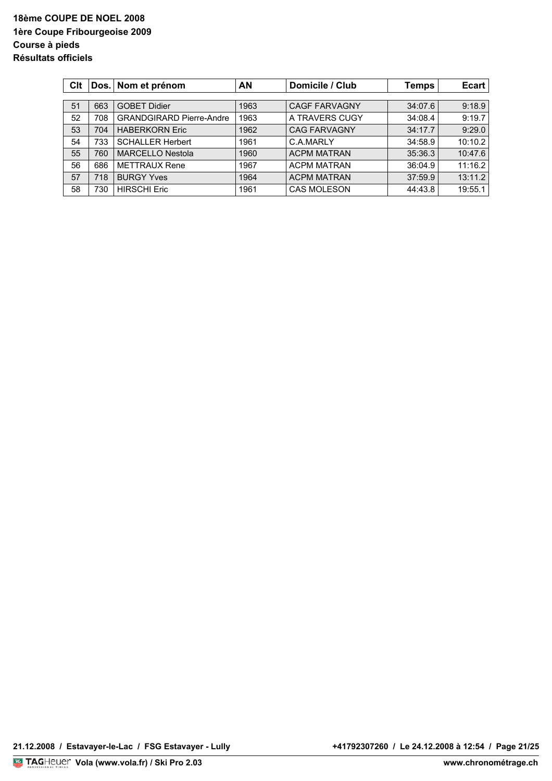| Clt | Dos. | Nom et prénom                   | AN   | Domicile / Club      | <b>Temps</b> | <b>Ecart</b> |
|-----|------|---------------------------------|------|----------------------|--------------|--------------|
|     |      |                                 |      |                      |              |              |
| 51  | 663  | <b>GOBET Didier</b>             | 1963 | <b>CAGF FARVAGNY</b> | 34:07.6      | 9:18.9       |
| 52  | 708  | <b>GRANDGIRARD Pierre-Andre</b> | 1963 | A TRAVERS CUGY       | 34:08.4      | 9:19.7       |
| 53  | 704  | <b>HABERKORN Eric</b>           | 1962 | <b>CAG FARVAGNY</b>  | 34:17.7      | 9:29.0       |
| 54  | 733  | <b>SCHALLER Herbert</b>         | 1961 | C.A.MARLY            | 34:58.9      | 10:10.2      |
| 55  | 760  | <b>MARCELLO Nestola</b>         | 1960 | <b>ACPM MATRAN</b>   | 35:36.3      | 10:47.6      |
| 56  | 686  | <b>METTRAUX Rene</b>            | 1967 | <b>ACPM MATRAN</b>   | 36:04.9      | 11:16.2      |
| 57  | 718  | <b>BURGY Yves</b>               | 1964 | <b>ACPM MATRAN</b>   | 37:59.9      | 13:11.2      |
| 58  | 730  | <b>HIRSCHI Eric</b>             | 1961 | <b>CAS MOLESON</b>   | 44:43.8      | 19:55.1      |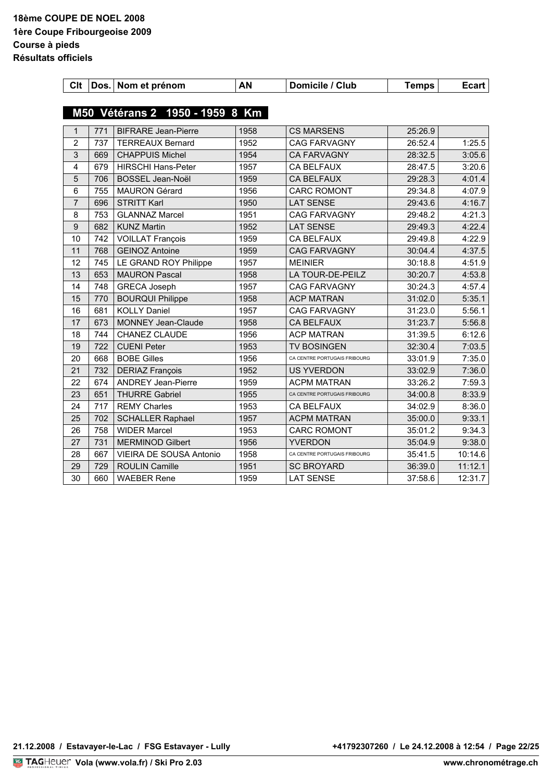| M50 Vétérans 2 1950 - 1959 8 Km<br>771<br><b>BIFRARE Jean-Pierre</b><br>1958<br><b>CS MARSENS</b><br>25:26.9<br>$\mathbf{1}$<br>$\overline{2}$<br>1:25.5<br>737<br><b>TERREAUX Bernard</b><br>1952<br><b>CAG FARVAGNY</b><br>26:52.4<br>3<br><b>CHAPPUIS Michel</b><br>3:05.6<br>669<br>1954<br><b>CA FARVAGNY</b><br>28:32.5<br>$\overline{\mathbf{4}}$<br>679<br>HIRSCHI Hans-Peter<br>1957<br>CA BELFAUX<br>3:20.6<br>28:47.5<br>5<br>4:01.4<br>706<br>BOSSEL Jean-Noël<br>1959<br><b>CA BELFAUX</b><br>29:28.3<br>6<br>4:07.9<br>755<br><b>MAURON Gérard</b><br>1956<br><b>CARC ROMONT</b><br>29:34.8<br>$\overline{7}$<br>696<br><b>STRITT Karl</b><br>1950<br><b>LAT SENSE</b><br>4:16.7<br>29:43.6<br>8<br>753<br>4:21.3<br><b>GLANNAZ Marcel</b><br>1951<br><b>CAG FARVAGNY</b><br>29:48.2<br>9<br>682<br><b>KUNZ Martin</b><br>1952<br><b>LAT SENSE</b><br>4:22.4<br>29:49.3<br>10<br>742<br><b>VOILLAT François</b><br>1959<br>CA BELFAUX<br>29:49.8<br>4:22.9<br>4:37.5<br>11<br>768<br><b>GEINOZ Antoine</b><br>1959<br><b>CAG FARVAGNY</b><br>30:04.4<br>12<br>LE GRAND ROY Philippe<br>4:51.9<br>745<br>1957<br><b>MEINIER</b><br>30:18.8<br>13<br>653<br><b>MAURON Pascal</b><br>1958<br>LA TOUR-DE-PEILZ<br>30:20.7<br>4:53.8<br>14<br>4:57.4<br><b>GRECA Joseph</b><br>1957<br>30:24.3<br>748<br><b>CAG FARVAGNY</b><br>15<br>1958<br>5:35.1<br>770<br><b>BOURQUI Philippe</b><br><b>ACP MATRAN</b><br>31:02.0<br>5:56.1<br>681<br><b>KOLLY Daniel</b><br>16<br>1957<br><b>CAG FARVAGNY</b><br>31:23.0<br>5:56.8<br>17<br>673<br><b>MONNEY Jean-Claude</b><br>1958<br><b>CA BELFAUX</b><br>31:23.7<br>18<br>1956<br>31:39.5<br>6:12.6<br>744<br>CHANEZ CLAUDE<br><b>ACP MATRAN</b><br>19<br>722<br>7:03.5<br><b>CUENI Peter</b><br>1953<br><b>TV BOSINGEN</b><br>32:30.4<br>20<br>668<br>7:35.0<br><b>BOBE Gilles</b><br>1956<br>33:01.9<br>CA CENTRE PORTUGAIS FRIBOURG<br>7:36.0<br>21<br>732<br><b>DERIAZ François</b><br>1952<br>33:02.9<br><b>US YVERDON</b><br>22<br>674<br><b>ANDREY Jean-Pierre</b><br>1959<br><b>ACPM MATRAN</b><br>33:26.2<br>7:59.3<br>8:33.9<br>23<br>651<br>1955<br><b>THURRE Gabriel</b><br>CA CENTRE PORTUGAIS FRIBOURG<br>34:00.8<br>24<br>717<br>34:02.9<br>8:36.0<br><b>REMY Charles</b><br>1953<br>CA BELFAUX<br>25<br>9:33.1<br>702<br><b>SCHALLER Raphael</b><br>1957<br><b>ACPM MATRAN</b><br>35:00.0<br>26<br>758<br><b>WIDER Marcel</b><br>1953<br><b>CARC ROMONT</b><br>35:01.2<br>9:34.3<br>9:38.0<br>27<br>731<br>1956<br><b>YVERDON</b><br>35:04.9<br><b>MERMINOD Gilbert</b><br>667<br>VIEIRA DE SOUSA Antonio<br>1958<br>35:41.5<br>10:14.6<br>28<br>CA CENTRE PORTUGAIS FRIBOURG<br>11:12.1<br>29<br>729<br><b>ROULIN Camille</b><br>36:39.0<br>1951 | Clt | Dos. Nom et prénom | AN | Domicile / Club   | <b>Temps</b> | <b>Ecart</b> |
|----------------------------------------------------------------------------------------------------------------------------------------------------------------------------------------------------------------------------------------------------------------------------------------------------------------------------------------------------------------------------------------------------------------------------------------------------------------------------------------------------------------------------------------------------------------------------------------------------------------------------------------------------------------------------------------------------------------------------------------------------------------------------------------------------------------------------------------------------------------------------------------------------------------------------------------------------------------------------------------------------------------------------------------------------------------------------------------------------------------------------------------------------------------------------------------------------------------------------------------------------------------------------------------------------------------------------------------------------------------------------------------------------------------------------------------------------------------------------------------------------------------------------------------------------------------------------------------------------------------------------------------------------------------------------------------------------------------------------------------------------------------------------------------------------------------------------------------------------------------------------------------------------------------------------------------------------------------------------------------------------------------------------------------------------------------------------------------------------------------------------------------------------------------------------------------------------------------------------------------------------------------------------------------------------------------------------------------------------------------------------------------------------------------------------------------------------------------------------------------------------------------------------------------------------------------------------------------------------------------------------------------------------------------------------------------------------------------------|-----|--------------------|----|-------------------|--------------|--------------|
|                                                                                                                                                                                                                                                                                                                                                                                                                                                                                                                                                                                                                                                                                                                                                                                                                                                                                                                                                                                                                                                                                                                                                                                                                                                                                                                                                                                                                                                                                                                                                                                                                                                                                                                                                                                                                                                                                                                                                                                                                                                                                                                                                                                                                                                                                                                                                                                                                                                                                                                                                                                                                                                                                                                      |     |                    |    |                   |              |              |
|                                                                                                                                                                                                                                                                                                                                                                                                                                                                                                                                                                                                                                                                                                                                                                                                                                                                                                                                                                                                                                                                                                                                                                                                                                                                                                                                                                                                                                                                                                                                                                                                                                                                                                                                                                                                                                                                                                                                                                                                                                                                                                                                                                                                                                                                                                                                                                                                                                                                                                                                                                                                                                                                                                                      |     |                    |    |                   |              |              |
|                                                                                                                                                                                                                                                                                                                                                                                                                                                                                                                                                                                                                                                                                                                                                                                                                                                                                                                                                                                                                                                                                                                                                                                                                                                                                                                                                                                                                                                                                                                                                                                                                                                                                                                                                                                                                                                                                                                                                                                                                                                                                                                                                                                                                                                                                                                                                                                                                                                                                                                                                                                                                                                                                                                      |     |                    |    |                   |              |              |
|                                                                                                                                                                                                                                                                                                                                                                                                                                                                                                                                                                                                                                                                                                                                                                                                                                                                                                                                                                                                                                                                                                                                                                                                                                                                                                                                                                                                                                                                                                                                                                                                                                                                                                                                                                                                                                                                                                                                                                                                                                                                                                                                                                                                                                                                                                                                                                                                                                                                                                                                                                                                                                                                                                                      |     |                    |    |                   |              |              |
|                                                                                                                                                                                                                                                                                                                                                                                                                                                                                                                                                                                                                                                                                                                                                                                                                                                                                                                                                                                                                                                                                                                                                                                                                                                                                                                                                                                                                                                                                                                                                                                                                                                                                                                                                                                                                                                                                                                                                                                                                                                                                                                                                                                                                                                                                                                                                                                                                                                                                                                                                                                                                                                                                                                      |     |                    |    |                   |              |              |
|                                                                                                                                                                                                                                                                                                                                                                                                                                                                                                                                                                                                                                                                                                                                                                                                                                                                                                                                                                                                                                                                                                                                                                                                                                                                                                                                                                                                                                                                                                                                                                                                                                                                                                                                                                                                                                                                                                                                                                                                                                                                                                                                                                                                                                                                                                                                                                                                                                                                                                                                                                                                                                                                                                                      |     |                    |    |                   |              |              |
|                                                                                                                                                                                                                                                                                                                                                                                                                                                                                                                                                                                                                                                                                                                                                                                                                                                                                                                                                                                                                                                                                                                                                                                                                                                                                                                                                                                                                                                                                                                                                                                                                                                                                                                                                                                                                                                                                                                                                                                                                                                                                                                                                                                                                                                                                                                                                                                                                                                                                                                                                                                                                                                                                                                      |     |                    |    |                   |              |              |
|                                                                                                                                                                                                                                                                                                                                                                                                                                                                                                                                                                                                                                                                                                                                                                                                                                                                                                                                                                                                                                                                                                                                                                                                                                                                                                                                                                                                                                                                                                                                                                                                                                                                                                                                                                                                                                                                                                                                                                                                                                                                                                                                                                                                                                                                                                                                                                                                                                                                                                                                                                                                                                                                                                                      |     |                    |    |                   |              |              |
|                                                                                                                                                                                                                                                                                                                                                                                                                                                                                                                                                                                                                                                                                                                                                                                                                                                                                                                                                                                                                                                                                                                                                                                                                                                                                                                                                                                                                                                                                                                                                                                                                                                                                                                                                                                                                                                                                                                                                                                                                                                                                                                                                                                                                                                                                                                                                                                                                                                                                                                                                                                                                                                                                                                      |     |                    |    |                   |              |              |
|                                                                                                                                                                                                                                                                                                                                                                                                                                                                                                                                                                                                                                                                                                                                                                                                                                                                                                                                                                                                                                                                                                                                                                                                                                                                                                                                                                                                                                                                                                                                                                                                                                                                                                                                                                                                                                                                                                                                                                                                                                                                                                                                                                                                                                                                                                                                                                                                                                                                                                                                                                                                                                                                                                                      |     |                    |    |                   |              |              |
|                                                                                                                                                                                                                                                                                                                                                                                                                                                                                                                                                                                                                                                                                                                                                                                                                                                                                                                                                                                                                                                                                                                                                                                                                                                                                                                                                                                                                                                                                                                                                                                                                                                                                                                                                                                                                                                                                                                                                                                                                                                                                                                                                                                                                                                                                                                                                                                                                                                                                                                                                                                                                                                                                                                      |     |                    |    |                   |              |              |
|                                                                                                                                                                                                                                                                                                                                                                                                                                                                                                                                                                                                                                                                                                                                                                                                                                                                                                                                                                                                                                                                                                                                                                                                                                                                                                                                                                                                                                                                                                                                                                                                                                                                                                                                                                                                                                                                                                                                                                                                                                                                                                                                                                                                                                                                                                                                                                                                                                                                                                                                                                                                                                                                                                                      |     |                    |    |                   |              |              |
|                                                                                                                                                                                                                                                                                                                                                                                                                                                                                                                                                                                                                                                                                                                                                                                                                                                                                                                                                                                                                                                                                                                                                                                                                                                                                                                                                                                                                                                                                                                                                                                                                                                                                                                                                                                                                                                                                                                                                                                                                                                                                                                                                                                                                                                                                                                                                                                                                                                                                                                                                                                                                                                                                                                      |     |                    |    |                   |              |              |
|                                                                                                                                                                                                                                                                                                                                                                                                                                                                                                                                                                                                                                                                                                                                                                                                                                                                                                                                                                                                                                                                                                                                                                                                                                                                                                                                                                                                                                                                                                                                                                                                                                                                                                                                                                                                                                                                                                                                                                                                                                                                                                                                                                                                                                                                                                                                                                                                                                                                                                                                                                                                                                                                                                                      |     |                    |    |                   |              |              |
|                                                                                                                                                                                                                                                                                                                                                                                                                                                                                                                                                                                                                                                                                                                                                                                                                                                                                                                                                                                                                                                                                                                                                                                                                                                                                                                                                                                                                                                                                                                                                                                                                                                                                                                                                                                                                                                                                                                                                                                                                                                                                                                                                                                                                                                                                                                                                                                                                                                                                                                                                                                                                                                                                                                      |     |                    |    |                   |              |              |
|                                                                                                                                                                                                                                                                                                                                                                                                                                                                                                                                                                                                                                                                                                                                                                                                                                                                                                                                                                                                                                                                                                                                                                                                                                                                                                                                                                                                                                                                                                                                                                                                                                                                                                                                                                                                                                                                                                                                                                                                                                                                                                                                                                                                                                                                                                                                                                                                                                                                                                                                                                                                                                                                                                                      |     |                    |    |                   |              |              |
|                                                                                                                                                                                                                                                                                                                                                                                                                                                                                                                                                                                                                                                                                                                                                                                                                                                                                                                                                                                                                                                                                                                                                                                                                                                                                                                                                                                                                                                                                                                                                                                                                                                                                                                                                                                                                                                                                                                                                                                                                                                                                                                                                                                                                                                                                                                                                                                                                                                                                                                                                                                                                                                                                                                      |     |                    |    |                   |              |              |
|                                                                                                                                                                                                                                                                                                                                                                                                                                                                                                                                                                                                                                                                                                                                                                                                                                                                                                                                                                                                                                                                                                                                                                                                                                                                                                                                                                                                                                                                                                                                                                                                                                                                                                                                                                                                                                                                                                                                                                                                                                                                                                                                                                                                                                                                                                                                                                                                                                                                                                                                                                                                                                                                                                                      |     |                    |    |                   |              |              |
|                                                                                                                                                                                                                                                                                                                                                                                                                                                                                                                                                                                                                                                                                                                                                                                                                                                                                                                                                                                                                                                                                                                                                                                                                                                                                                                                                                                                                                                                                                                                                                                                                                                                                                                                                                                                                                                                                                                                                                                                                                                                                                                                                                                                                                                                                                                                                                                                                                                                                                                                                                                                                                                                                                                      |     |                    |    |                   |              |              |
|                                                                                                                                                                                                                                                                                                                                                                                                                                                                                                                                                                                                                                                                                                                                                                                                                                                                                                                                                                                                                                                                                                                                                                                                                                                                                                                                                                                                                                                                                                                                                                                                                                                                                                                                                                                                                                                                                                                                                                                                                                                                                                                                                                                                                                                                                                                                                                                                                                                                                                                                                                                                                                                                                                                      |     |                    |    |                   |              |              |
|                                                                                                                                                                                                                                                                                                                                                                                                                                                                                                                                                                                                                                                                                                                                                                                                                                                                                                                                                                                                                                                                                                                                                                                                                                                                                                                                                                                                                                                                                                                                                                                                                                                                                                                                                                                                                                                                                                                                                                                                                                                                                                                                                                                                                                                                                                                                                                                                                                                                                                                                                                                                                                                                                                                      |     |                    |    |                   |              |              |
|                                                                                                                                                                                                                                                                                                                                                                                                                                                                                                                                                                                                                                                                                                                                                                                                                                                                                                                                                                                                                                                                                                                                                                                                                                                                                                                                                                                                                                                                                                                                                                                                                                                                                                                                                                                                                                                                                                                                                                                                                                                                                                                                                                                                                                                                                                                                                                                                                                                                                                                                                                                                                                                                                                                      |     |                    |    |                   |              |              |
|                                                                                                                                                                                                                                                                                                                                                                                                                                                                                                                                                                                                                                                                                                                                                                                                                                                                                                                                                                                                                                                                                                                                                                                                                                                                                                                                                                                                                                                                                                                                                                                                                                                                                                                                                                                                                                                                                                                                                                                                                                                                                                                                                                                                                                                                                                                                                                                                                                                                                                                                                                                                                                                                                                                      |     |                    |    |                   |              |              |
|                                                                                                                                                                                                                                                                                                                                                                                                                                                                                                                                                                                                                                                                                                                                                                                                                                                                                                                                                                                                                                                                                                                                                                                                                                                                                                                                                                                                                                                                                                                                                                                                                                                                                                                                                                                                                                                                                                                                                                                                                                                                                                                                                                                                                                                                                                                                                                                                                                                                                                                                                                                                                                                                                                                      |     |                    |    |                   |              |              |
|                                                                                                                                                                                                                                                                                                                                                                                                                                                                                                                                                                                                                                                                                                                                                                                                                                                                                                                                                                                                                                                                                                                                                                                                                                                                                                                                                                                                                                                                                                                                                                                                                                                                                                                                                                                                                                                                                                                                                                                                                                                                                                                                                                                                                                                                                                                                                                                                                                                                                                                                                                                                                                                                                                                      |     |                    |    |                   |              |              |
|                                                                                                                                                                                                                                                                                                                                                                                                                                                                                                                                                                                                                                                                                                                                                                                                                                                                                                                                                                                                                                                                                                                                                                                                                                                                                                                                                                                                                                                                                                                                                                                                                                                                                                                                                                                                                                                                                                                                                                                                                                                                                                                                                                                                                                                                                                                                                                                                                                                                                                                                                                                                                                                                                                                      |     |                    |    |                   |              |              |
|                                                                                                                                                                                                                                                                                                                                                                                                                                                                                                                                                                                                                                                                                                                                                                                                                                                                                                                                                                                                                                                                                                                                                                                                                                                                                                                                                                                                                                                                                                                                                                                                                                                                                                                                                                                                                                                                                                                                                                                                                                                                                                                                                                                                                                                                                                                                                                                                                                                                                                                                                                                                                                                                                                                      |     |                    |    |                   |              |              |
|                                                                                                                                                                                                                                                                                                                                                                                                                                                                                                                                                                                                                                                                                                                                                                                                                                                                                                                                                                                                                                                                                                                                                                                                                                                                                                                                                                                                                                                                                                                                                                                                                                                                                                                                                                                                                                                                                                                                                                                                                                                                                                                                                                                                                                                                                                                                                                                                                                                                                                                                                                                                                                                                                                                      |     |                    |    |                   |              |              |
|                                                                                                                                                                                                                                                                                                                                                                                                                                                                                                                                                                                                                                                                                                                                                                                                                                                                                                                                                                                                                                                                                                                                                                                                                                                                                                                                                                                                                                                                                                                                                                                                                                                                                                                                                                                                                                                                                                                                                                                                                                                                                                                                                                                                                                                                                                                                                                                                                                                                                                                                                                                                                                                                                                                      |     |                    |    |                   |              |              |
|                                                                                                                                                                                                                                                                                                                                                                                                                                                                                                                                                                                                                                                                                                                                                                                                                                                                                                                                                                                                                                                                                                                                                                                                                                                                                                                                                                                                                                                                                                                                                                                                                                                                                                                                                                                                                                                                                                                                                                                                                                                                                                                                                                                                                                                                                                                                                                                                                                                                                                                                                                                                                                                                                                                      |     |                    |    |                   |              |              |
|                                                                                                                                                                                                                                                                                                                                                                                                                                                                                                                                                                                                                                                                                                                                                                                                                                                                                                                                                                                                                                                                                                                                                                                                                                                                                                                                                                                                                                                                                                                                                                                                                                                                                                                                                                                                                                                                                                                                                                                                                                                                                                                                                                                                                                                                                                                                                                                                                                                                                                                                                                                                                                                                                                                      |     |                    |    |                   |              |              |
|                                                                                                                                                                                                                                                                                                                                                                                                                                                                                                                                                                                                                                                                                                                                                                                                                                                                                                                                                                                                                                                                                                                                                                                                                                                                                                                                                                                                                                                                                                                                                                                                                                                                                                                                                                                                                                                                                                                                                                                                                                                                                                                                                                                                                                                                                                                                                                                                                                                                                                                                                                                                                                                                                                                      |     |                    |    | <b>SC BROYARD</b> |              |              |
| 30<br>12:31.7<br>660<br><b>WAEBER Rene</b><br>1959<br><b>LAT SENSE</b><br>37:58.6                                                                                                                                                                                                                                                                                                                                                                                                                                                                                                                                                                                                                                                                                                                                                                                                                                                                                                                                                                                                                                                                                                                                                                                                                                                                                                                                                                                                                                                                                                                                                                                                                                                                                                                                                                                                                                                                                                                                                                                                                                                                                                                                                                                                                                                                                                                                                                                                                                                                                                                                                                                                                                    |     |                    |    |                   |              |              |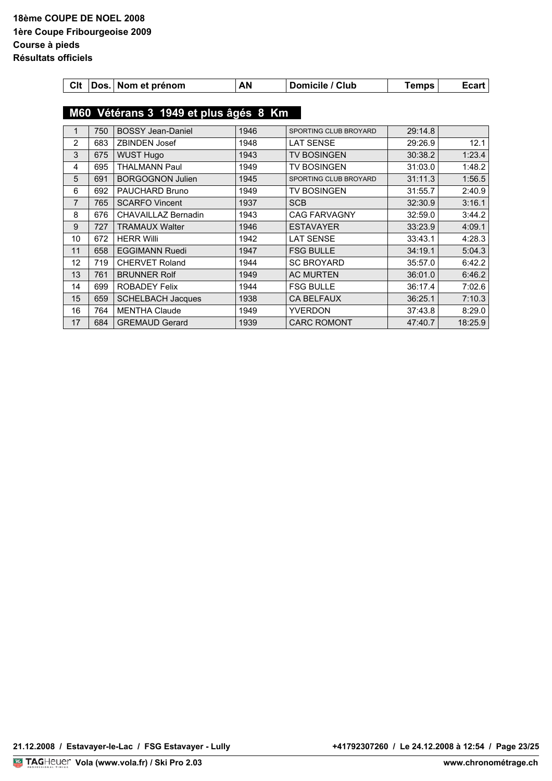| Clt |     | Dos. Nom et prénom                    | AN   | Domicile / Club       | <b>Temps</b> | <b>Ecart</b> |
|-----|-----|---------------------------------------|------|-----------------------|--------------|--------------|
|     |     |                                       |      |                       |              |              |
|     |     | M60 Vétérans 3 1949 et plus âgés 8 Km |      |                       |              |              |
|     | 750 | <b>BOSSY Jean-Daniel</b>              | 1946 | SPORTING CLUB BROYARD | 29:14.8      |              |
| 2   | 683 | <b>ZBINDEN Josef</b>                  | 1948 | <b>LAT SENSE</b>      | 29:26.9      | 12.1         |
| 3   | 675 | <b>WUST Hugo</b>                      | 1943 | <b>TV BOSINGEN</b>    | 30:38.2      | 1:23.4       |
| 4   | 695 | <b>THALMANN Paul</b>                  | 1949 | <b>TV BOSINGEN</b>    | 31:03.0      | 1:48.2       |
| 5   | 691 | <b>BORGOGNON Julien</b>               | 1945 | SPORTING CLUB BROYARD | 31:11.3      | 1:56.5       |
| 6   | 692 | PAUCHARD Bruno                        | 1949 | <b>TV BOSINGEN</b>    | 31:55.7      | 2:40.9       |
| 7   | 765 | <b>SCARFO Vincent</b>                 | 1937 | <b>SCB</b>            | 32:30.9      | 3:16.1       |
| 8   | 676 | <b>CHAVAILLAZ Bernadin</b>            | 1943 | <b>CAG FARVAGNY</b>   | 32:59.0      | 3:44.2       |
| 9   | 727 | <b>TRAMAUX Walter</b>                 | 1946 | <b>ESTAVAYER</b>      | 33:23.9      | 4:09.1       |
| 10  | 672 | <b>HERR Willi</b>                     | 1942 | <b>LAT SENSE</b>      | 33:43.1      | 4:28.3       |
| 11  | 658 | <b>EGGIMANN Ruedi</b>                 | 1947 | <b>FSG BULLE</b>      | 34:19.1      | 5:04.3       |
| 12  | 719 | <b>CHERVET Roland</b>                 | 1944 | <b>SC BROYARD</b>     | 35:57.0      | 6:42.2       |
| 13  | 761 | <b>BRUNNER Rolf</b>                   | 1949 | <b>AC MURTEN</b>      | 36:01.0      | 6:46.2       |
| 14  | 699 | <b>ROBADEY Felix</b>                  | 1944 | <b>FSG BULLE</b>      | 36:17.4      | 7:02.6       |
| 15  | 659 | <b>SCHELBACH Jacques</b>              | 1938 | <b>CA BELFAUX</b>     | 36:25.1      | 7:10.3       |
| 16  | 764 | <b>MENTHA Claude</b>                  | 1949 | <b>YVERDON</b>        | 37:43.8      | 8:29.0       |
| 17  | 684 | <b>GREMAUD Gerard</b>                 | 1939 | <b>CARC ROMONT</b>    | 47:40.7      | 18:25.9      |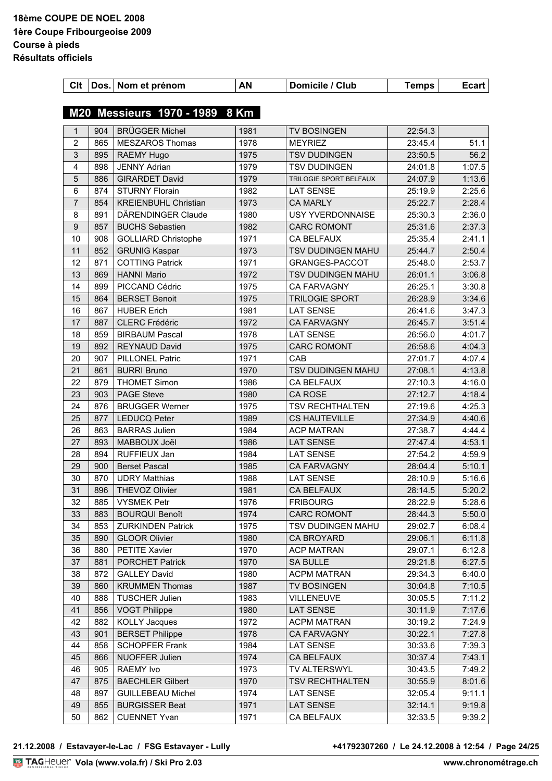| Clt                            |     | Dos. Nom et prénom          | AN   | Domicile / Club          | <b>Temps</b> | Ecart  |  |  |  |
|--------------------------------|-----|-----------------------------|------|--------------------------|--------------|--------|--|--|--|
| M20 Messieurs 1970 - 1989 8 Km |     |                             |      |                          |              |        |  |  |  |
|                                |     |                             |      |                          |              |        |  |  |  |
| 1                              | 904 | <b>BRÜGGER Michel</b>       | 1981 | <b>TV BOSINGEN</b>       | 22:54.3      |        |  |  |  |
| $\overline{2}$                 | 865 | <b>MESZAROS Thomas</b>      | 1978 | <b>MEYRIEZ</b>           | 23:45.4      | 51.1   |  |  |  |
| $\mathsf 3$                    | 895 | <b>RAEMY Hugo</b>           | 1975 | <b>TSV DUDINGEN</b>      | 23:50.5      | 56.2   |  |  |  |
| $\overline{\mathbf{4}}$        | 898 | <b>JENNY Adrian</b>         | 1979 | <b>TSV DUDINGEN</b>      | 24:01.8      | 1:07.5 |  |  |  |
| 5                              | 886 | <b>GIRARDET David</b>       | 1979 | TRILOGIE SPORT BELFAUX   | 24:07.9      | 1:13.6 |  |  |  |
| 6                              | 874 | <b>STURNY Florain</b>       | 1982 | <b>LAT SENSE</b>         | 25:19.9      | 2:25.6 |  |  |  |
| $\overline{7}$                 | 854 | <b>KREIENBUHL Christian</b> | 1973 | <b>CA MARLY</b>          | 25:22.7      | 2:28.4 |  |  |  |
| 8                              | 891 | DÄRENDINGER Claude          | 1980 | <b>USY YVERDONNAISE</b>  | 25:30.3      | 2:36.0 |  |  |  |
| $\boldsymbol{9}$               | 857 | <b>BUCHS Sebastien</b>      | 1982 | <b>CARC ROMONT</b>       | 25:31.6      | 2:37.3 |  |  |  |
| 10                             | 908 | <b>GOLLIARD Christophe</b>  | 1971 | <b>CA BELFAUX</b>        | 25:35.4      | 2:41.1 |  |  |  |
| 11                             | 852 | <b>GRUNIG Kaspar</b>        | 1973 | TSV DUDINGEN MAHU        | 25:44.7      | 2:50.4 |  |  |  |
| 12                             | 871 | <b>COTTING Patrick</b>      | 1971 | GRANGES-PACCOT           | 25:48.0      | 2:53.7 |  |  |  |
| 13                             | 869 | <b>HANNI Mario</b>          | 1972 | <b>TSV DUDINGEN MAHU</b> | 26:01.1      | 3:06.8 |  |  |  |
| 14                             | 899 | PICCAND Cédric              | 1975 | CA FARVAGNY              | 26:25.1      | 3:30.8 |  |  |  |
| 15                             | 864 | <b>BERSET Benoit</b>        | 1975 | <b>TRILOGIE SPORT</b>    | 26:28.9      | 3:34.6 |  |  |  |
| 16                             | 867 | <b>HUBER Erich</b>          | 1981 | <b>LAT SENSE</b>         | 26:41.6      | 3:47.3 |  |  |  |
| 17                             | 887 | <b>CLERC Frédéric</b>       | 1972 | <b>CA FARVAGNY</b>       | 26:45.7      | 3:51.4 |  |  |  |
| 18                             | 859 | <b>BIRBAUM Pascal</b>       | 1978 | <b>LAT SENSE</b>         | 26:56.0      | 4:01.7 |  |  |  |
| 19                             | 892 | <b>REYNAUD David</b>        | 1975 | <b>CARC ROMONT</b>       | 26:58.6      | 4:04.3 |  |  |  |
| 20                             | 907 | <b>PILLONEL Patric</b>      | 1971 | CAB                      | 27:01.7      | 4:07.4 |  |  |  |
| 21                             | 861 | <b>BURRI Bruno</b>          | 1970 | TSV DUDINGEN MAHU        | 27:08.1      | 4:13.8 |  |  |  |
| 22                             | 879 | <b>THOMET Simon</b>         | 1986 | CA BELFAUX               | 27:10.3      | 4:16.0 |  |  |  |
| 23                             | 903 | <b>PAGE Steve</b>           | 1980 | <b>CA ROSE</b>           | 27:12.7      | 4:18.4 |  |  |  |
| 24                             | 876 | <b>BRUGGER Werner</b>       | 1975 | <b>TSV RECHTHALTEN</b>   | 27:19.6      | 4:25.3 |  |  |  |
| 25                             | 877 | <b>LEDUCQ Peter</b>         | 1989 | <b>CS HAUTEVILLE</b>     | 27:34.9      | 4:40.6 |  |  |  |
| 26                             | 863 | <b>BARRAS Julien</b>        | 1984 | <b>ACP MATRAN</b>        | 27:38.7      | 4:44.4 |  |  |  |
| 27                             | 893 | MABBOUX Joël                | 1986 | <b>LAT SENSE</b>         | 27:47.4      | 4:53.1 |  |  |  |
| 28                             | 894 | RUFFIEUX Jan                | 1984 | <b>LAT SENSE</b>         | 27:54.2      | 4:59.9 |  |  |  |
| 29                             | 900 | <b>Berset Pascal</b>        | 1985 | <b>CA FARVAGNY</b>       | 28:04.4      | 5:10.1 |  |  |  |
| 30                             | 870 | <b>UDRY Matthias</b>        | 1988 | <b>LAT SENSE</b>         | 28:10.9      | 5:16.6 |  |  |  |
| 31                             | 896 | <b>THEVOZ Olivier</b>       | 1981 | CA BELFAUX               | 28:14.5      | 5:20.2 |  |  |  |
| 32                             | 885 | <b>VYSMEK Petr</b>          | 1976 | <b>FRIBOURG</b>          | 28:22.9      | 5:28.6 |  |  |  |
| 33                             | 883 | <b>BOURQUI Benoît</b>       | 1974 | <b>CARC ROMONT</b>       | 28:44.3      | 5:50.0 |  |  |  |
| 34                             | 853 | <b>ZURKINDEN Patrick</b>    | 1975 | TSV DUDINGEN MAHU        | 29:02.7      | 6:08.4 |  |  |  |
| 35                             | 890 | <b>GLOOR Olivier</b>        | 1980 | <b>CA BROYARD</b>        | 29:06.1      | 6:11.8 |  |  |  |
| 36                             | 880 | PETITE Xavier               | 1970 | <b>ACP MATRAN</b>        | 29:07.1      | 6:12.8 |  |  |  |
| 37                             | 881 | PORCHET Patrick             | 1970 | <b>SA BULLE</b>          | 29:21.8      | 6:27.5 |  |  |  |
| 38                             | 872 | <b>GALLEY David</b>         | 1980 | <b>ACPM MATRAN</b>       | 29:34.3      | 6:40.0 |  |  |  |
| 39                             | 860 | <b>KRUMMEN Thomas</b>       | 1987 | TV BOSINGEN              | 30:04.8      | 7:10.5 |  |  |  |
| 40                             | 888 | <b>TUSCHER Julien</b>       | 1983 | <b>VILLENEUVE</b>        | 30:05.5      | 7:11.2 |  |  |  |
| 41                             | 856 | <b>VOGT Philippe</b>        | 1980 | <b>LAT SENSE</b>         | 30:11.9      | 7:17.6 |  |  |  |
|                                |     |                             |      |                          |              |        |  |  |  |
| 42<br>43                       | 882 | <b>KOLLY Jacques</b>        | 1972 | <b>ACPM MATRAN</b>       | 30:19.2      | 7:24.9 |  |  |  |
|                                | 901 | <b>BERSET Philippe</b>      | 1978 | <b>CA FARVAGNY</b>       | 30:22.1      | 7:27.8 |  |  |  |
| 44                             | 858 | <b>SCHOPFER Frank</b>       | 1984 | <b>LAT SENSE</b>         | 30:33.6      | 7:39.3 |  |  |  |
| 45                             | 866 | <b>NUOFFER Julien</b>       | 1974 | CA BELFAUX               | 30:37.4      | 7:43.1 |  |  |  |
| 46                             | 905 | RAEMY Ivo                   | 1973 | TV ALTERSWYL             | 30:43.5      | 7:49.2 |  |  |  |
| 47                             | 875 | <b>BAECHLER Gilbert</b>     | 1970 | <b>TSV RECHTHALTEN</b>   | 30:55.9      | 8:01.6 |  |  |  |
| 48                             | 897 | <b>GUILLEBEAU Michel</b>    | 1974 | <b>LAT SENSE</b>         | 32:05.4      | 9:11.1 |  |  |  |
| 49                             | 855 | <b>BURGISSER Beat</b>       | 1971 | <b>LAT SENSE</b>         | 32:14.1      | 9:19.8 |  |  |  |
| 50                             | 862 | <b>CUENNET Yvan</b>         | 1971 | CA BELFAUX               | 32:33.5      | 9:39.2 |  |  |  |

**+41792307260** / Le 24.12.2008 à 12:54 / Page 24/25<br>www.chronométrage.ch